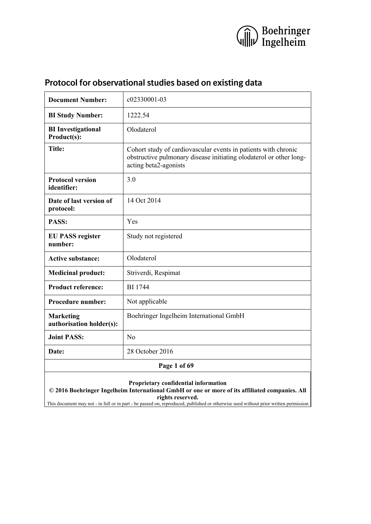

| <b>Document Number:</b>                      | c02330001-03                                                                                                                                                  |  |  |
|----------------------------------------------|---------------------------------------------------------------------------------------------------------------------------------------------------------------|--|--|
| <b>BI Study Number:</b>                      | 1222.54                                                                                                                                                       |  |  |
| <b>BI</b> Investigational<br>Product(s):     | Olodaterol                                                                                                                                                    |  |  |
| <b>Title:</b>                                | Cohort study of cardiovascular events in patients with chronic<br>obstructive pulmonary disease initiating olodaterol or other long-<br>acting beta2-agonists |  |  |
| <b>Protocol version</b><br>identifier:       | 3.0                                                                                                                                                           |  |  |
| Date of last version of<br>protocol:         | 14 Oct 2014                                                                                                                                                   |  |  |
| PASS:                                        | Yes                                                                                                                                                           |  |  |
| <b>EU PASS register</b><br>number:           | Study not registered                                                                                                                                          |  |  |
| <b>Active substance:</b>                     | Olodaterol                                                                                                                                                    |  |  |
| <b>Medicinal product:</b>                    | Striverdi, Respimat                                                                                                                                           |  |  |
| <b>Product reference:</b><br><b>BI</b> 1744  |                                                                                                                                                               |  |  |
| Procedure number:                            | Not applicable                                                                                                                                                |  |  |
| <b>Marketing</b><br>authorisation holder(s): | Boehringer Ingelheim International GmbH                                                                                                                       |  |  |
| <b>Joint PASS:</b>                           | N <sub>o</sub>                                                                                                                                                |  |  |
| 28 October 2016<br>Date:                     |                                                                                                                                                               |  |  |
| Page 1 of 69                                 |                                                                                                                                                               |  |  |
|                                              | Proprietary confidential information<br>© 2016 Boehringer Ingelheim International GmbH or one or more of its affiliated companies. All<br>rights reserved.    |  |  |

This document may not - in full or in part - be passed on, reproduced, published or otherwise used without prior written permission

# <span id="page-0-0"></span>**Protocol for observational studies based on existing data**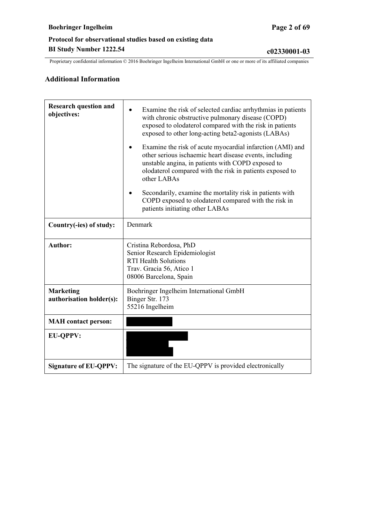### **Additional Information**

| <b>Research question and</b><br>objectives:  | Examine the risk of selected cardiac arrhythmias in patients<br>with chronic obstructive pulmonary disease (COPD)<br>exposed to olodaterol compared with the risk in patients<br>exposed to other long-acting beta2-agonists (LABAs)                 |  |  |
|----------------------------------------------|------------------------------------------------------------------------------------------------------------------------------------------------------------------------------------------------------------------------------------------------------|--|--|
|                                              | Examine the risk of acute myocardial infarction (AMI) and<br>other serious ischaemic heart disease events, including<br>unstable angina, in patients with COPD exposed to<br>olodaterol compared with the risk in patients exposed to<br>other LABAs |  |  |
|                                              | Secondarily, examine the mortality risk in patients with<br>COPD exposed to olodaterol compared with the risk in<br>patients initiating other LABAs                                                                                                  |  |  |
| Country(-ies) of study:                      | Denmark                                                                                                                                                                                                                                              |  |  |
| <b>Author:</b>                               | Cristina Rebordosa, PhD<br>Senior Research Epidemiologist<br><b>RTI Health Solutions</b><br>Trav. Gracia 56, Atico 1<br>08006 Barcelona, Spain                                                                                                       |  |  |
| <b>Marketing</b><br>authorisation holder(s): | Boehringer Ingelheim International GmbH<br>Binger Str. 173<br>55216 Ingelheim                                                                                                                                                                        |  |  |
| <b>MAH</b> contact person:                   |                                                                                                                                                                                                                                                      |  |  |
| <b>EU-QPPV:</b>                              |                                                                                                                                                                                                                                                      |  |  |
| <b>Signature of EU-QPPV:</b>                 | The signature of the EU-QPPV is provided electronically                                                                                                                                                                                              |  |  |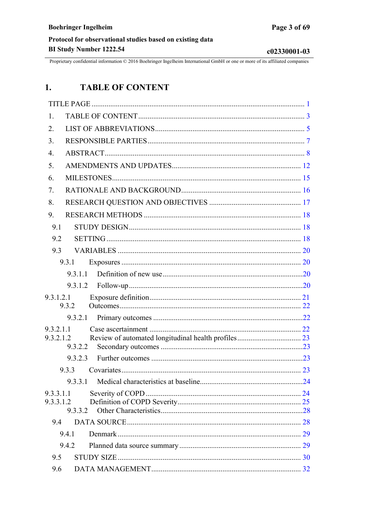c02330001-03

<span id="page-2-0"></span>Proprietary confidential information © 2016 Boehringer Ingelheim International GmbH or one or more of its affiliated companies

#### $1.$ **TABLE OF CONTENT**

| 1.                     |         |  |
|------------------------|---------|--|
| 2.                     |         |  |
| 3.                     |         |  |
| $\overline{4}$ .       |         |  |
| 5.                     |         |  |
| 6.                     |         |  |
| 7.                     |         |  |
| 8.                     |         |  |
| 9.                     |         |  |
| 9.1                    |         |  |
| 9.2                    |         |  |
| 9.3                    |         |  |
|                        | 9.3.1   |  |
|                        | 9.3.1.1 |  |
|                        | 9.3.1.2 |  |
| 9.3.1.2.1              |         |  |
|                        | 9.3.2   |  |
|                        | 9.3.2.1 |  |
| 9.3.2.1.1<br>9.3.2.1.2 |         |  |
|                        | 9.3.2.2 |  |
|                        | 9.3.2.3 |  |
|                        | 9.3.3   |  |
|                        | 9.3.3.1 |  |
| 9.3.3.1.1              |         |  |
| 9.3.3.1.2              | 9.3.3.2 |  |
| 9.4                    |         |  |
|                        | 9.4.1   |  |
|                        | 9.4.2   |  |
| 9.5                    |         |  |
| 9.6                    |         |  |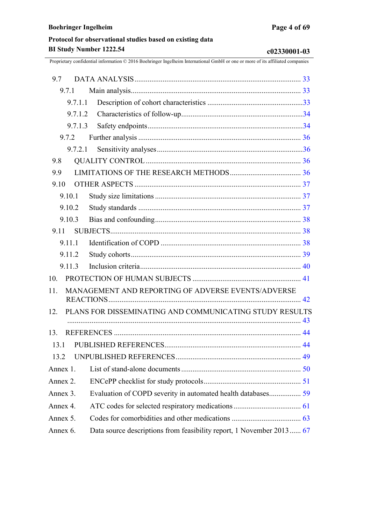| PLANS FOR DISSEMINATING AND COMMUNICATING STUDY RESULTS              |
|----------------------------------------------------------------------|
|                                                                      |
|                                                                      |
|                                                                      |
|                                                                      |
|                                                                      |
|                                                                      |
|                                                                      |
|                                                                      |
| Data source descriptions from feasibility report, 1 November 2013 67 |
|                                                                      |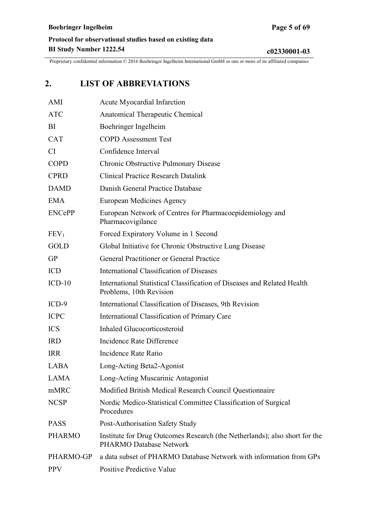# <span id="page-4-0"></span>**2. LIST OF ABBREVIATIONS**

| AMI              | <b>Acute Myocardial Infarction</b>                                                                    |
|------------------|-------------------------------------------------------------------------------------------------------|
| <b>ATC</b>       | Anatomical Therapeutic Chemical                                                                       |
| BI               | Boehringer Ingelheim                                                                                  |
| <b>CAT</b>       | <b>COPD</b> Assessment Test                                                                           |
| CI               | Confidence Interval                                                                                   |
| <b>COPD</b>      | Chronic Obstructive Pulmonary Disease                                                                 |
| <b>CPRD</b>      | <b>Clinical Practice Research Datalink</b>                                                            |
| <b>DAMD</b>      | Danish General Practice Database                                                                      |
| <b>EMA</b>       | European Medicines Agency                                                                             |
| <b>ENCePP</b>    | European Network of Centres for Pharmacoepidemiology and<br>Pharmacovigilance                         |
| FEV <sub>1</sub> | Forced Expiratory Volume in 1 Second                                                                  |
| <b>GOLD</b>      | Global Initiative for Chronic Obstructive Lung Disease                                                |
| <b>GP</b>        | <b>General Practitioner or General Practice</b>                                                       |
| <b>ICD</b>       | International Classification of Diseases                                                              |
| $ICD-10$         | International Statistical Classification of Diseases and Related Health<br>Problems, 10th Revision    |
| $ICD-9$          | International Classification of Diseases, 9th Revision                                                |
| <b>ICPC</b>      | International Classification of Primary Care                                                          |
| <b>ICS</b>       | Inhaled Glucocorticosteroid                                                                           |
| <b>IRD</b>       | Incidence Rate Difference                                                                             |
| <b>IRR</b>       | Incidence Rate Ratio                                                                                  |
| <b>LABA</b>      | Long-Acting Beta2-Agonist                                                                             |
| <b>LAMA</b>      | Long-Acting Muscarinic Antagonist                                                                     |
| mMRC             | Modified British Medical Research Council Questionnaire                                               |
| <b>NCSP</b>      | Nordic Medico-Statistical Committee Classification of Surgical<br>Procedures                          |
| <b>PASS</b>      | Post-Authorisation Safety Study                                                                       |
| <b>PHARMO</b>    | Institute for Drug Outcomes Research (the Netherlands); also short for the<br>PHARMO Database Network |
| PHARMO-GP        | a data subset of PHARMO Database Network with information from GPs                                    |
| <b>PPV</b>       | Positive Predictive Value                                                                             |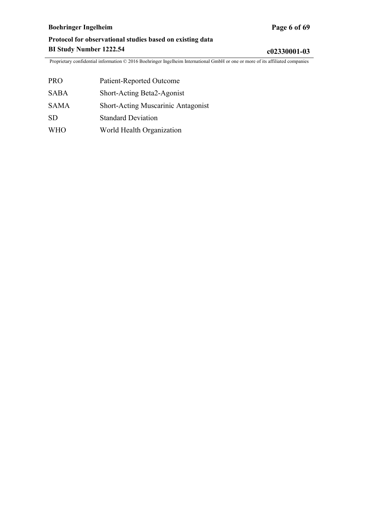# **Boehringer Ingelheim Page 6 of 69**

# **Protocol for observational studies based on existing data BI Study Number 1222.54 c02330001-03**

| <b>PRO</b>  | Patient-Reported Outcome           |
|-------------|------------------------------------|
| <b>SABA</b> | Short-Acting Beta2-Agonist         |
| <b>SAMA</b> | Short-Acting Muscarinic Antagonist |
| <b>SD</b>   | <b>Standard Deviation</b>          |
| <b>WHO</b>  | World Health Organization          |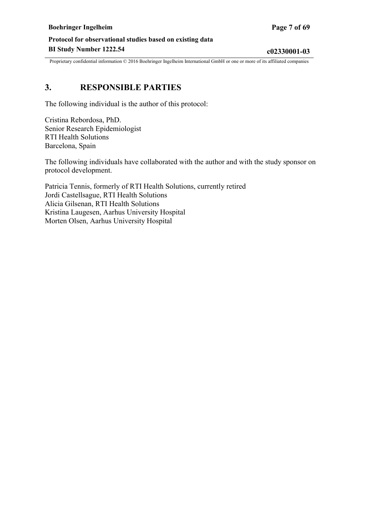# <span id="page-6-0"></span>**3. RESPONSIBLE PARTIES**

The following individual is the author of this protocol:

Cristina Rebordosa, PhD. Senior Research Epidemiologist RTI Health Solutions Barcelona, Spain

The following individuals have collaborated with the author and with the study sponsor on protocol development.

Patricia Tennis, formerly of RTI Health Solutions, currently retired Jordi Castellsague, RTI Health Solutions Alicia Gilsenan, RTI Health Solutions Kristina Laugesen, Aarhus University Hospital Morten Olsen, Aarhus University Hospital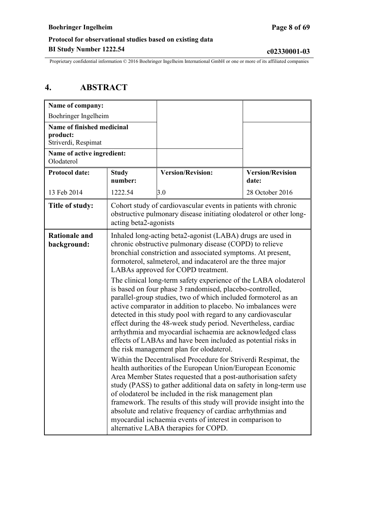<span id="page-7-0"></span>Proprietary confidential information © 2016 Boehringer Ingelheim International GmbH or one or more of its affiliated companies

# **4. ABSTRACT**

| Name of company:                                              |                                                                                                                                                                                                                                                                                                                                                                                                                                                                                                                                                                                                                                                                                                                                                                                                                                                                                                                                                                                                                                                                                                                                                                                                                                                                                                                                                                                                                                                                                                       |                                                                |                                  |
|---------------------------------------------------------------|-------------------------------------------------------------------------------------------------------------------------------------------------------------------------------------------------------------------------------------------------------------------------------------------------------------------------------------------------------------------------------------------------------------------------------------------------------------------------------------------------------------------------------------------------------------------------------------------------------------------------------------------------------------------------------------------------------------------------------------------------------------------------------------------------------------------------------------------------------------------------------------------------------------------------------------------------------------------------------------------------------------------------------------------------------------------------------------------------------------------------------------------------------------------------------------------------------------------------------------------------------------------------------------------------------------------------------------------------------------------------------------------------------------------------------------------------------------------------------------------------------|----------------------------------------------------------------|----------------------------------|
| Boehringer Ingelheim                                          |                                                                                                                                                                                                                                                                                                                                                                                                                                                                                                                                                                                                                                                                                                                                                                                                                                                                                                                                                                                                                                                                                                                                                                                                                                                                                                                                                                                                                                                                                                       |                                                                |                                  |
| Name of finished medicinal<br>product:<br>Striverdi, Respimat |                                                                                                                                                                                                                                                                                                                                                                                                                                                                                                                                                                                                                                                                                                                                                                                                                                                                                                                                                                                                                                                                                                                                                                                                                                                                                                                                                                                                                                                                                                       |                                                                |                                  |
| Name of active ingredient:<br>Olodaterol                      |                                                                                                                                                                                                                                                                                                                                                                                                                                                                                                                                                                                                                                                                                                                                                                                                                                                                                                                                                                                                                                                                                                                                                                                                                                                                                                                                                                                                                                                                                                       |                                                                |                                  |
| <b>Protocol date:</b>                                         | <b>Study</b><br>number:                                                                                                                                                                                                                                                                                                                                                                                                                                                                                                                                                                                                                                                                                                                                                                                                                                                                                                                                                                                                                                                                                                                                                                                                                                                                                                                                                                                                                                                                               | <b>Version/Revision:</b>                                       | <b>Version/Revision</b><br>date: |
| 13 Feb 2014                                                   | 1222.54                                                                                                                                                                                                                                                                                                                                                                                                                                                                                                                                                                                                                                                                                                                                                                                                                                                                                                                                                                                                                                                                                                                                                                                                                                                                                                                                                                                                                                                                                               | 3.0                                                            | 28 October 2016                  |
| Title of study:                                               |                                                                                                                                                                                                                                                                                                                                                                                                                                                                                                                                                                                                                                                                                                                                                                                                                                                                                                                                                                                                                                                                                                                                                                                                                                                                                                                                                                                                                                                                                                       | Cohort study of cardiovascular events in patients with chronic |                                  |
| <b>Rationale and</b><br>background:                           | obstructive pulmonary disease initiating olodaterol or other long-<br>acting beta2-agonists<br>Inhaled long-acting beta2-agonist (LABA) drugs are used in<br>chronic obstructive pulmonary disease (COPD) to relieve<br>bronchial constriction and associated symptoms. At present,<br>formoterol, salmeterol, and indacaterol are the three major<br>LABAs approved for COPD treatment.<br>The clinical long-term safety experience of the LABA olodaterol<br>is based on four phase 3 randomised, placebo-controlled,<br>parallel-group studies, two of which included formoterol as an<br>active comparator in addition to placebo. No imbalances were<br>detected in this study pool with regard to any cardiovascular<br>effect during the 48-week study period. Nevertheless, cardiac<br>arrhythmia and myocardial ischaemia are acknowledged class<br>effects of LABAs and have been included as potential risks in<br>the risk management plan for olodaterol.<br>Within the Decentralised Procedure for Striverdi Respimat, the<br>health authorities of the European Union/European Economic<br>Area Member States requested that a post-authorisation safety<br>study (PASS) to gather additional data on safety in long-term use<br>of olodaterol be included in the risk management plan<br>framework. The results of this study will provide insight into the<br>absolute and relative frequency of cardiac arrhythmias and<br>myocardial ischaemia events of interest in comparison to |                                                                |                                  |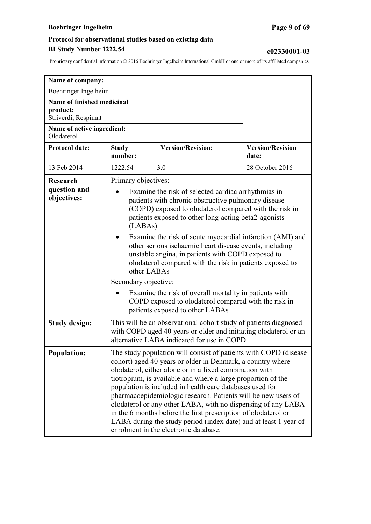# **Boehringer Ingelheim Page 9 of 69**

| Name of company:                                              |                                                                                                                                                                                                                                                                                                                                                                                                                                                                                                                                                                                                                                                                  |                          |                                  |
|---------------------------------------------------------------|------------------------------------------------------------------------------------------------------------------------------------------------------------------------------------------------------------------------------------------------------------------------------------------------------------------------------------------------------------------------------------------------------------------------------------------------------------------------------------------------------------------------------------------------------------------------------------------------------------------------------------------------------------------|--------------------------|----------------------------------|
| Boehringer Ingelheim                                          |                                                                                                                                                                                                                                                                                                                                                                                                                                                                                                                                                                                                                                                                  |                          |                                  |
| Name of finished medicinal<br>product:<br>Striverdi, Respimat |                                                                                                                                                                                                                                                                                                                                                                                                                                                                                                                                                                                                                                                                  |                          |                                  |
| Name of active ingredient:<br>Olodaterol                      |                                                                                                                                                                                                                                                                                                                                                                                                                                                                                                                                                                                                                                                                  |                          |                                  |
| <b>Protocol date:</b>                                         | <b>Study</b><br>number:                                                                                                                                                                                                                                                                                                                                                                                                                                                                                                                                                                                                                                          | <b>Version/Revision:</b> | <b>Version/Revision</b><br>date: |
| 13 Feb 2014                                                   | 1222.54                                                                                                                                                                                                                                                                                                                                                                                                                                                                                                                                                                                                                                                          | 3.0                      | 28 October 2016                  |
| <b>Research</b><br>question and<br>objectives:                | Primary objectives:<br>Examine the risk of selected cardiac arrhythmias in<br>patients with chronic obstructive pulmonary disease<br>(COPD) exposed to olodaterol compared with the risk in<br>patients exposed to other long-acting beta2-agonists<br>(LABAs)<br>Examine the risk of acute myocardial infarction (AMI) and<br>other serious ischaemic heart disease events, including<br>unstable angina, in patients with COPD exposed to<br>olodaterol compared with the risk in patients exposed to<br>other LABAs<br>Secondary objective:<br>Examine the risk of overall mortality in patients with<br>COPD exposed to olodaterol compared with the risk in |                          |                                  |
| <b>Study design:</b>                                          | patients exposed to other LABAs<br>This will be an observational cohort study of patients diagnosed<br>with COPD aged 40 years or older and initiating olodaterol or an<br>alternative LABA indicated for use in COPD.                                                                                                                                                                                                                                                                                                                                                                                                                                           |                          |                                  |
| <b>Population:</b>                                            | The study population will consist of patients with COPD (disease<br>cohort) aged 40 years or older in Denmark, a country where<br>olodaterol, either alone or in a fixed combination with<br>tiotropium, is available and where a large proportion of the<br>population is included in health care databases used for<br>pharmacoepidemiologic research. Patients will be new users of<br>olodaterol or any other LABA, with no dispensing of any LABA<br>in the 6 months before the first prescription of olodaterol or<br>LABA during the study period (index date) and at least 1 year of<br>enrolment in the electronic database.                            |                          |                                  |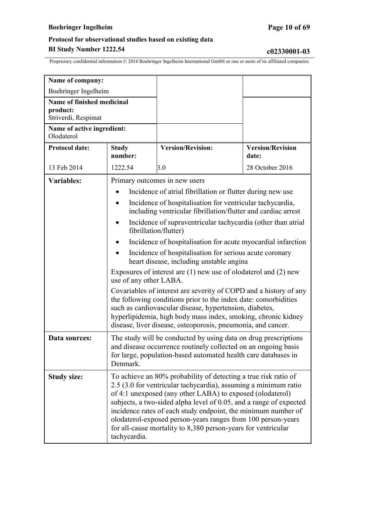# **Boehringer Ingelheim Page 10 of 69**

# **Protocol for observational studies based on existing data BI Study Number 1222.54 c02330001-03**

| Name of company:                         |                                                                                                                                                                                                                                                                                                                                                                                                                                                                                         |                                                                                                                            |                                  |
|------------------------------------------|-----------------------------------------------------------------------------------------------------------------------------------------------------------------------------------------------------------------------------------------------------------------------------------------------------------------------------------------------------------------------------------------------------------------------------------------------------------------------------------------|----------------------------------------------------------------------------------------------------------------------------|----------------------------------|
| Boehringer Ingelheim                     |                                                                                                                                                                                                                                                                                                                                                                                                                                                                                         |                                                                                                                            |                                  |
| Name of finished medicinal               |                                                                                                                                                                                                                                                                                                                                                                                                                                                                                         |                                                                                                                            |                                  |
| product:<br>Striverdi, Respimat          |                                                                                                                                                                                                                                                                                                                                                                                                                                                                                         |                                                                                                                            |                                  |
| Name of active ingredient:<br>Olodaterol |                                                                                                                                                                                                                                                                                                                                                                                                                                                                                         |                                                                                                                            |                                  |
| <b>Protocol date:</b>                    | <b>Study</b><br>number:                                                                                                                                                                                                                                                                                                                                                                                                                                                                 | <b>Version/Revision:</b>                                                                                                   | <b>Version/Revision</b><br>date: |
| 13 Feb 2014                              | 1222.54                                                                                                                                                                                                                                                                                                                                                                                                                                                                                 | 3.0                                                                                                                        | 28 October 2016                  |
| Variables:                               |                                                                                                                                                                                                                                                                                                                                                                                                                                                                                         | Primary outcomes in new users                                                                                              |                                  |
|                                          |                                                                                                                                                                                                                                                                                                                                                                                                                                                                                         | Incidence of atrial fibrillation or flutter during new use                                                                 |                                  |
|                                          |                                                                                                                                                                                                                                                                                                                                                                                                                                                                                         | Incidence of hospitalisation for ventricular tachycardia,<br>including ventricular fibrillation/flutter and cardiac arrest |                                  |
|                                          | $\bullet$<br>fibrillation/flutter)                                                                                                                                                                                                                                                                                                                                                                                                                                                      | Incidence of supraventricular tachycardia (other than atrial                                                               |                                  |
|                                          | Incidence of hospitalisation for acute myocardial infarction                                                                                                                                                                                                                                                                                                                                                                                                                            |                                                                                                                            |                                  |
|                                          | Incidence of hospitalisation for serious acute coronary<br>heart disease, including unstable angina                                                                                                                                                                                                                                                                                                                                                                                     |                                                                                                                            |                                  |
|                                          | Exposures of interest are $(1)$ new use of olodaterol and $(2)$ new<br>use of any other LABA.                                                                                                                                                                                                                                                                                                                                                                                           |                                                                                                                            |                                  |
|                                          | Covariables of interest are severity of COPD and a history of any<br>the following conditions prior to the index date: comorbidities<br>such as cardiovascular disease, hypertension, diabetes,<br>hyperlipidemia, high body mass index, smoking, chronic kidney<br>disease, liver disease, osteoporosis, pneumonia, and cancer.                                                                                                                                                        |                                                                                                                            |                                  |
| Data sources:                            | The study will be conducted by using data on drug prescriptions<br>and disease occurrence routinely collected on an ongoing basis<br>for large, population-based automated health care databases in<br>Denmark.                                                                                                                                                                                                                                                                         |                                                                                                                            |                                  |
| <b>Study size:</b>                       | To achieve an 80% probability of detecting a true risk ratio of<br>2.5 (3.0 for ventricular tachycardia), assuming a minimum ratio<br>of 4:1 unexposed (any other LABA) to exposed (olodaterol)<br>subjects, a two-sided alpha level of 0.05, and a range of expected<br>incidence rates of each study endpoint, the minimum number of<br>olodaterol-exposed person-years ranges from 100 person-years<br>for all-cause mortality to 8,380 person-years for ventricular<br>tachycardia. |                                                                                                                            |                                  |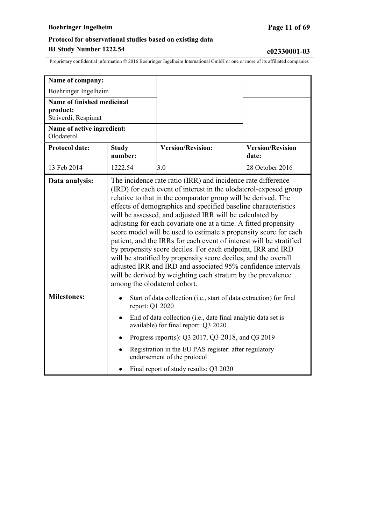# **Boehringer Ingelheim Page 11 of 69**

| Name of company:                                              |                                                                                                                                                                                                                                                                                                                                                                                                                                                                                                                                                                                                                                                                                                                                                                                                                                                |                          |                                  |
|---------------------------------------------------------------|------------------------------------------------------------------------------------------------------------------------------------------------------------------------------------------------------------------------------------------------------------------------------------------------------------------------------------------------------------------------------------------------------------------------------------------------------------------------------------------------------------------------------------------------------------------------------------------------------------------------------------------------------------------------------------------------------------------------------------------------------------------------------------------------------------------------------------------------|--------------------------|----------------------------------|
| Boehringer Ingelheim                                          |                                                                                                                                                                                                                                                                                                                                                                                                                                                                                                                                                                                                                                                                                                                                                                                                                                                |                          |                                  |
| Name of finished medicinal<br>product:<br>Striverdi, Respimat |                                                                                                                                                                                                                                                                                                                                                                                                                                                                                                                                                                                                                                                                                                                                                                                                                                                |                          |                                  |
| Name of active ingredient:<br>Olodaterol                      |                                                                                                                                                                                                                                                                                                                                                                                                                                                                                                                                                                                                                                                                                                                                                                                                                                                |                          |                                  |
| <b>Protocol date:</b>                                         | <b>Study</b><br>number:                                                                                                                                                                                                                                                                                                                                                                                                                                                                                                                                                                                                                                                                                                                                                                                                                        | <b>Version/Revision:</b> | <b>Version/Revision</b><br>date: |
| 13 Feb 2014                                                   | 1222.54                                                                                                                                                                                                                                                                                                                                                                                                                                                                                                                                                                                                                                                                                                                                                                                                                                        | 3.0                      | 28 October 2016                  |
| Data analysis:                                                | The incidence rate ratio (IRR) and incidence rate difference<br>(IRD) for each event of interest in the olodaterol-exposed group<br>relative to that in the comparator group will be derived. The<br>effects of demographics and specified baseline characteristics<br>will be assessed, and adjusted IRR will be calculated by<br>adjusting for each covariate one at a time. A fitted propensity<br>score model will be used to estimate a propensity score for each<br>patient, and the IRRs for each event of interest will be stratified<br>by propensity score deciles. For each endpoint, IRR and IRD<br>will be stratified by propensity score deciles, and the overall<br>adjusted IRR and IRD and associated 95% confidence intervals<br>will be derived by weighting each stratum by the prevalence<br>among the olodaterol cohort. |                          |                                  |
| <b>Milestones:</b>                                            | Start of data collection (i.e., start of data extraction) for final<br>report: Q1 2020<br>End of data collection (i.e., date final analytic data set is<br>available) for final report: Q3 2020<br>Progress report(s): Q3 2017, Q3 2018, and Q3 2019<br>Registration in the EU PAS register: after regulatory<br>endorsement of the protocol<br>Final report of study results: Q3 2020                                                                                                                                                                                                                                                                                                                                                                                                                                                         |                          |                                  |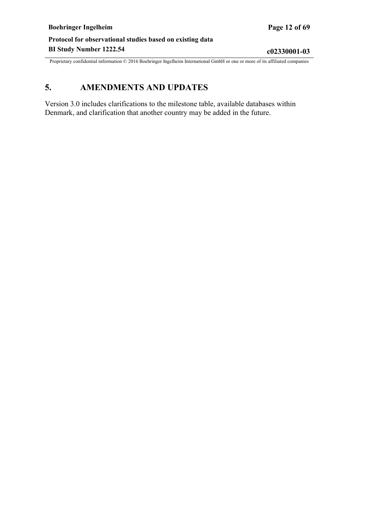# <span id="page-11-0"></span>**5. AMENDMENTS AND UPDATES**

Version 3.0 includes clarifications to the milestone table, available databases within Denmark, and clarification that another country may be added in the future.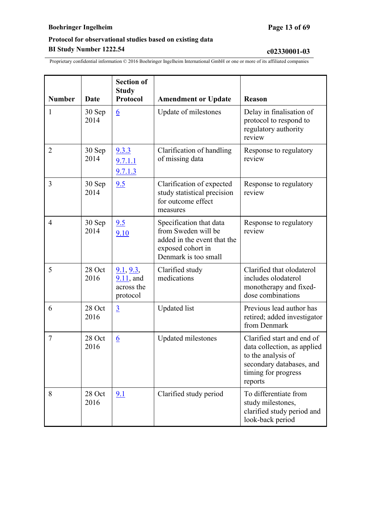| <b>Number</b>  | Date           | <b>Section of</b><br><b>Study</b><br>Protocol               | <b>Amendment or Update</b>                                                                                                 | <b>Reason</b>                                                                                                                                 |
|----------------|----------------|-------------------------------------------------------------|----------------------------------------------------------------------------------------------------------------------------|-----------------------------------------------------------------------------------------------------------------------------------------------|
| 1              | 30 Sep<br>2014 | 6                                                           | Update of milestones                                                                                                       | Delay in finalisation of<br>protocol to respond to<br>regulatory authority<br>review                                                          |
| $\overline{2}$ | 30 Sep<br>2014 | 9.3.3<br>9.7.1.1<br>9.7.1.3                                 | Clarification of handling<br>of missing data                                                                               | Response to regulatory<br>review                                                                                                              |
| 3              | 30 Sep<br>2014 | 9.5                                                         | Clarification of expected<br>study statistical precision<br>for outcome effect<br>measures                                 | Response to regulatory<br>review                                                                                                              |
| $\overline{4}$ | 30 Sep<br>2014 | 9.5<br>9.10                                                 | Specification that data<br>from Sweden will be<br>added in the event that the<br>exposed cohort in<br>Denmark is too small | Response to regulatory<br>review                                                                                                              |
| 5              | 28 Oct<br>2016 | <u>9.1, 9.3, </u><br>$9.11$ , and<br>across the<br>protocol | Clarified study<br>medications                                                                                             | Clarified that olodaterol<br>includes olodaterol<br>monotherapy and fixed-<br>dose combinations                                               |
| 6              | 28 Oct<br>2016 | $\overline{3}$                                              | <b>Updated</b> list                                                                                                        | Previous lead author has<br>retired; added investigator<br>from Denmark                                                                       |
| $\tau$         | 28 Oct<br>2016 | $\underline{6}$                                             | Updated milestones                                                                                                         | Clarified start and end of<br>data collection, as applied<br>to the analysis of<br>secondary databases, and<br>timing for progress<br>reports |
| 8              | 28 Oct<br>2016 | 9.1                                                         | Clarified study period                                                                                                     | To differentiate from<br>study milestones,<br>clarified study period and<br>look-back period                                                  |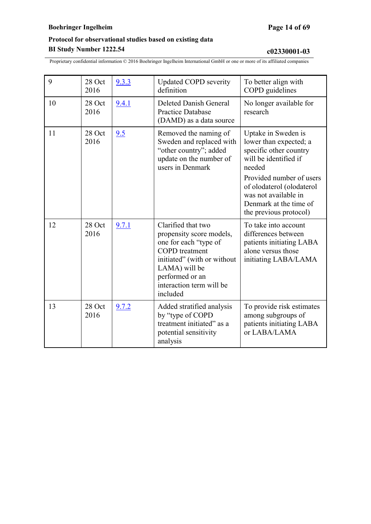| 9  | 28 Oct<br>2016 | 9.3.3 | <b>Updated COPD severity</b><br>definition                                                                                                                                                                  | To better align with<br>COPD guidelines                                                                                                                                                                                                         |
|----|----------------|-------|-------------------------------------------------------------------------------------------------------------------------------------------------------------------------------------------------------------|-------------------------------------------------------------------------------------------------------------------------------------------------------------------------------------------------------------------------------------------------|
| 10 | 28 Oct<br>2016 | 9.4.1 | Deleted Danish General<br>Practice Database<br>(DAMD) as a data source                                                                                                                                      | No longer available for<br>research                                                                                                                                                                                                             |
| 11 | 28 Oct<br>2016 | 9.5   | Removed the naming of<br>Sweden and replaced with<br>"other country"; added<br>update on the number of<br>users in Denmark                                                                                  | Uptake in Sweden is<br>lower than expected; a<br>specific other country<br>will be identified if<br>needed<br>Provided number of users<br>of olodaterol (olodaterol<br>was not available in<br>Denmark at the time of<br>the previous protocol) |
| 12 | 28 Oct<br>2016 | 9.7.1 | Clarified that two<br>propensity score models,<br>one for each "type of<br><b>COPD</b> treatment<br>initiated" (with or without<br>LAMA) will be<br>performed or an<br>interaction term will be<br>included | To take into account<br>differences between<br>patients initiating LABA<br>alone versus those<br>initiating LABA/LAMA                                                                                                                           |
| 13 | 28 Oct<br>2016 | 9.7.2 | Added stratified analysis<br>by "type of COPD<br>treatment initiated" as a<br>potential sensitivity<br>analysis                                                                                             | To provide risk estimates<br>among subgroups of<br>patients initiating LABA<br>or LABA/LAMA                                                                                                                                                     |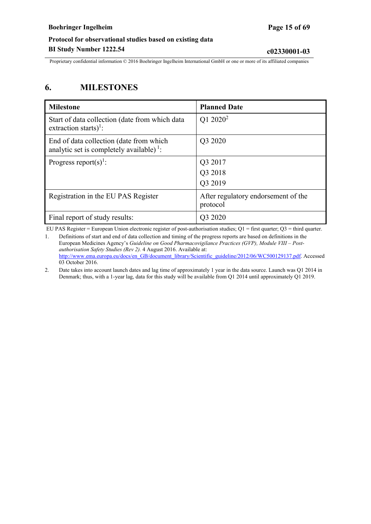<span id="page-14-0"></span>Proprietary confidential information © 2016 Boehringer Ingelheim International GmbH or one or more of its affiliated companies

# **6. MILESTONES**

| <b>Milestone</b>                                                                                | <b>Planned Date</b>                             |
|-------------------------------------------------------------------------------------------------|-------------------------------------------------|
| Start of data collection (date from which data<br>extraction starts) <sup>1</sup> :             | Q1 2020 <sup>2</sup>                            |
| End of data collection (date from which<br>analytic set is completely available) <sup>1</sup> : | Q3 2020                                         |
| Progress report(s) <sup>1</sup> :                                                               | Q3 2017                                         |
|                                                                                                 | Q3 2018                                         |
|                                                                                                 | Q3 2019                                         |
| Registration in the EU PAS Register                                                             | After regulatory endorsement of the<br>protocol |
| Final report of study results:                                                                  | Q3 2020                                         |

EU PAS Register = European Union electronic register of post-authorisation studies;  $Q1 =$  first quarter;  $Q3 =$  third quarter.

1. Definitions of start and end of data collection and timing of the progress reports are based on definitions in the European Medicines Agency's *Guideline on Good Pharmacovigilance Practices (GVP), Module VIII – Postauthorisation Safety Studies (Rev 2).* 4 August 2016. Available at: [http://www.ema.europa.eu/docs/en\\_GB/document\\_library/Scientific\\_guideline/2012/06/WC500129137.pdf.](http://www.ema.europa.eu/docs/en_GB/document_library/Scientific_guideline/2012/06/WC500129137.pdf) Accessed 03 October 2016.

2. Date takes into account launch dates and lag time of approximately 1 year in the data source. Launch was Q1 2014 in Denmark; thus, with a 1-year lag, data for this study will be available from Q1 2014 until approximately Q1 2019.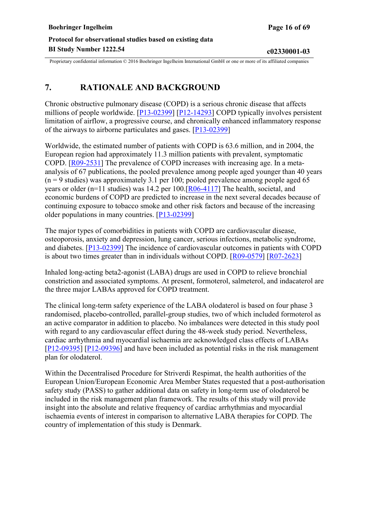# <span id="page-15-0"></span>**7. RATIONALE AND BACKGROUND**

Chronic obstructive pulmonary disease (COPD) is a serious chronic disease that affects millions of people worldwide. [[P13-02399](#page-44-0)] [\[P12-14293\]](#page-44-0) COPD typically involves persistent limitation of airflow, a progressive course, and chronically enhanced inflammatory response of the airways to airborne particulates and gases. [[P13-02399\]](#page-44-0)

Worldwide, the estimated number of patients with COPD is 63.6 million, and in 2004, the European region had approximately 11.3 million patients with prevalent, symptomatic COPD. [\[R09-2531](#page-44-0)] The prevalence of COPD increases with increasing age. In a metaanalysis of 67 publications, the pooled prevalence among people aged younger than 40 years  $(n = 9$  studies) was approximately 3.1 per 100; pooled prevalence among people aged 65 years or older (n=11 studies) was 14.2 per 100.[[R06-4117](#page-44-0)] The health, societal, and economic burdens of COPD are predicted to increase in the next several decades because of continuing exposure to tobacco smoke and other risk factors and because of the increasing older populations in many countries. [[P13-02399](#page-44-0)]

The major types of comorbidities in patients with COPD are cardiovascular disease, osteoporosis, anxiety and depression, lung cancer, serious infections, metabolic syndrome, and diabetes. [[P13-02399](#page-44-0)] The incidence of cardiovascular outcomes in patients with COPD is about two times greater than in individuals without COPD. [\[R09-0579](#page-44-0)] [\[R07-2623](#page-44-0)]

Inhaled long-acting beta2-agonist (LABA) drugs are used in COPD to relieve bronchial constriction and associated symptoms. At present, formoterol, salmeterol, and indacaterol are the three major LABAs approved for COPD treatment.

The clinical long-term safety experience of the LABA olodaterol is based on four phase 3 randomised, placebo-controlled, parallel-group studies, two of which included formoterol as an active comparator in addition to placebo. No imbalances were detected in this study pool with regard to any cardiovascular effect during the 48-week study period. Nevertheless, cardiac arrhythmia and myocardial ischaemia are acknowledged class effects of LABAs [[P12-09395\]](#page-44-0) [[P12-09396](#page-44-0)] and have been included as potential risks in the risk management plan for olodaterol.

Within the Decentralised Procedure for Striverdi Respimat, the health authorities of the European Union/European Economic Area Member States requested that a post-authorisation safety study (PASS) to gather additional data on safety in long-term use of olodaterol be included in the risk management plan framework. The results of this study will provide insight into the absolute and relative frequency of cardiac arrhythmias and myocardial ischaemia events of interest in comparison to alternative LABA therapies for COPD. The country of implementation of this study is Denmark.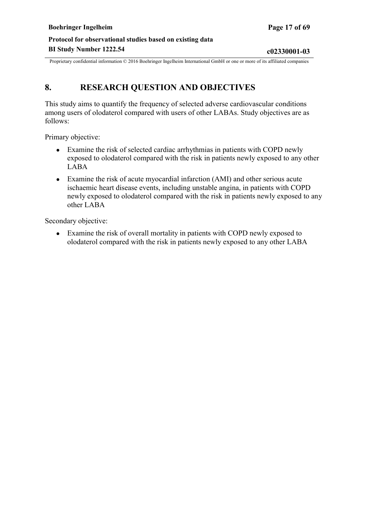# <span id="page-16-0"></span>**8. RESEARCH QUESTION AND OBJECTIVES**

This study aims to quantify the frequency of selected adverse cardiovascular conditions among users of olodaterol compared with users of other LABAs. Study objectives are as follows:

Primary objective:

- Examine the risk of selected cardiac arrhythmias in patients with COPD newly exposed to olodaterol compared with the risk in patients newly exposed to any other LABA
- Examine the risk of acute myocardial infarction (AMI) and other serious acute ischaemic heart disease events, including unstable angina, in patients with COPD newly exposed to olodaterol compared with the risk in patients newly exposed to any other LABA

Secondary objective:

● Examine the risk of overall mortality in patients with COPD newly exposed to olodaterol compared with the risk in patients newly exposed to any other LABA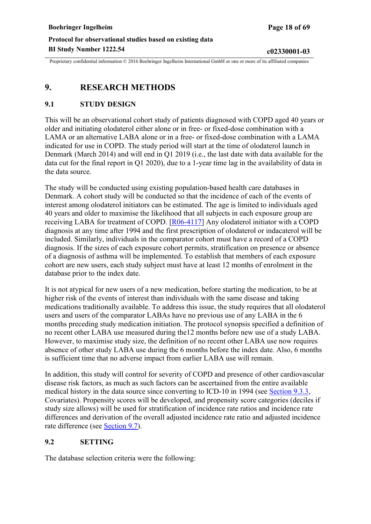# <span id="page-17-0"></span>**9. RESEARCH METHODS**

### **9.1 STUDY DESIGN**

This will be an observational cohort study of patients diagnosed with COPD aged 40 years or older and initiating olodaterol either alone or in free- or fixed-dose combination with a LAMA or an alternative LABA alone or in a free- or fixed-dose combination with a LAMA indicated for use in COPD. The study period will start at the time of olodaterol launch in Denmark (March 2014) and will end in Q1 2019 (i.e., the last date with data available for the data cut for the final report in Q1 2020), due to a 1-year time lag in the availability of data in the data source.

The study will be conducted using existing population-based health care databases in Denmark. A cohort study will be conducted so that the incidence of each of the events of interest among olodaterol initiators can be estimated. The age is limited to individuals aged 40 years and older to maximise the likelihood that all subjects in each exposure group are receiving LABA for treatment of COPD. [[R06-4117\]](#page-44-0) Any olodaterol initiator with a COPD diagnosis at any time after 1994 and the first prescription of olodaterol or indacaterol will be included. Similarly, individuals in the comparator cohort must have a record of a COPD diagnosis. If the sizes of each exposure cohort permits, stratification on presence or absence of a diagnosis of asthma will be implemented. To establish that members of each exposure cohort are new users, each study subject must have at least 12 months of enrolment in the database prior to the index date.

It is not atypical for new users of a new medication, before starting the medication, to be at higher risk of the events of interest than individuals with the same disease and taking medications traditionally available. To address this issue, the study requires that all olodaterol users and users of the comparator LABAs have no previous use of any LABA in the 6 months preceding study medication initiation. The protocol synopsis specified a definition of no recent other LABA use measured during the12 months before new use of a study LABA. However, to maximise study size, the definition of no recent other LABA use now requires absence of other study LABA use during the 6 months before the index date. Also, 6 months is sufficient time that no adverse impact from earlier LABA use will remain.

In addition, this study will control for severity of COPD and presence of other cardiovascular disease risk factors, as much as such factors can be ascertained from the entire available medical history in the data source since converting to ICD-10 in 1994 (see [Section 9.3.3](#page-22-0), Covariates). Propensity scores will be developed, and propensity score categories (deciles if study size allows) will be used for stratification of incidence rate ratios and incidence rate differences and derivation of the overall adjusted incidence rate ratio and adjusted incidence rate difference (see [Section](#page-32-0) 9.7).

### **9.2 SETTING**

The database selection criteria were the following: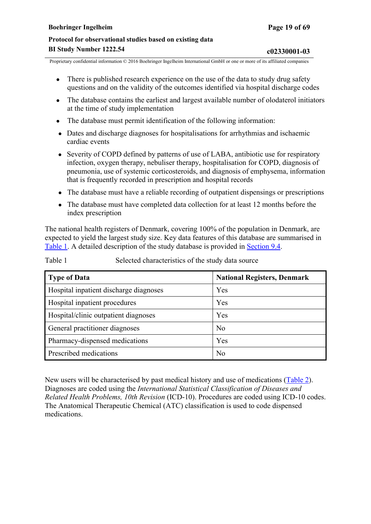- <span id="page-18-0"></span>• There is published research experience on the use of the data to study drug safety questions and on the validity of the outcomes identified via hospital discharge codes
- The database contains the earliest and largest available number of olodaterol initiators at the time of study implementation
- The database must permit identification of the following information:
- Dates and discharge diagnoses for hospitalisations for arrhythmias and ischaemic cardiac events
- Severity of COPD defined by patterns of use of LABA, antibiotic use for respiratory infection, oxygen therapy, nebuliser therapy, hospitalisation for COPD, diagnosis of pneumonia, use of systemic corticosteroids, and diagnosis of emphysema, information that is frequently recorded in prescription and hospital records
- The database must have a reliable recording of outpatient dispensings or prescriptions
- The database must have completed data collection for at least 12 months before the index prescription

The national health registers of Denmark, covering 100% of the population in Denmark, are expected to yield the largest study size. Key data features of this database are summarised in [Table](#page-18-0) 1. A detailed description of the study database is provided in [Section](#page-27-0) 9.4.

Table 1 Selected characteristics of the study data source

| <b>Type of Data</b>                    | <b>National Registers, Denmark</b> |
|----------------------------------------|------------------------------------|
| Hospital inpatient discharge diagnoses | Yes                                |
| Hospital inpatient procedures          | Yes                                |
| Hospital/clinic outpatient diagnoses   | Yes                                |
| General practitioner diagnoses         | N <sub>o</sub>                     |
| Pharmacy-dispensed medications         | Yes                                |
| Prescribed medications                 | N <sub>o</sub>                     |

New users will be characterised by past medical history and use of medications [\(Table 2\)](#page-19-0). Diagnoses are coded using the *International Statistical Classification of Diseases and Related Health Problems, 10th Revision* (ICD-10). Procedures are coded using ICD-10 codes. The Anatomical Therapeutic Chemical (ATC) classification is used to code dispensed medications.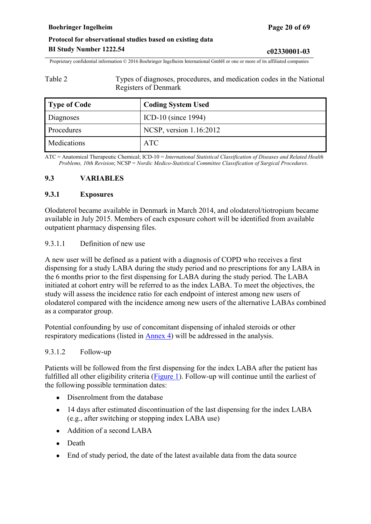<span id="page-19-0"></span>Proprietary confidential information © 2016 Boehringer Ingelheim International GmbH or one or more of its affiliated companies

Table 2 Types of diagnoses, procedures, and medication codes in the National Registers of Denmark

| Type of Code | <b>Coding System Used</b> |
|--------------|---------------------------|
| Diagnoses    | ICD-10 (since $1994$ )    |
| Procedures   | NCSP, version 1.16:2012   |
| Medications  | <b>ATC</b>                |

ATC = Anatomical Therapeutic Chemical; ICD-10 = *International Statistical Classification of Diseases and Related Health Problems, 10th Revision*; NCSP = *Nordic Medico-Statistical Committee Classification of Surgical Procedures*.

### **9.3 VARIABLES**

#### **9.3.1 Exposures**

Olodaterol became available in Denmark in March 2014, and olodaterol/tiotropium became available in July 2015. Members of each exposure cohort will be identified from available outpatient pharmacy dispensing files.

#### 9.3.1.1 Definition of new use

A new user will be defined as a patient with a diagnosis of COPD who receives a first dispensing for a study LABA during the study period and no prescriptions for any LABA in the 6 months prior to the first dispensing for LABA during the study period. The LABA initiated at cohort entry will be referred to as the index LABA. To meet the objectives, the study will assess the incidence ratio for each endpoint of interest among new users of olodaterol compared with the incidence among new users of the alternative LABAs combined as a comparator group.

Potential confounding by use of concomitant dispensing of inhaled steroids or other respiratory medications (listed in [Annex](#page-60-0) 4) will be addressed in the analysis.

#### 9.3.1.2 Follow-up

Patients will be followed from the first dispensing for the index LABA after the patient has fulfilled all other eligibility criteria ([Figure](#page-20-0) 1). Follow-up will continue until the earliest of the following possible termination dates:

- Disenrolment from the database
- 14 days after estimated discontinuation of the last dispensing for the index LABA (e.g., after switching or stopping index LABA use)
- Addition of a second LABA
- Death
- End of study period, the date of the latest available data from the data source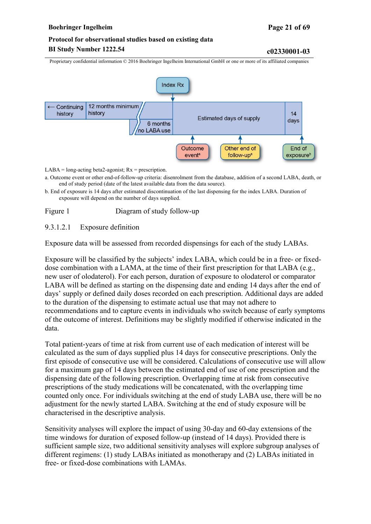#### <span id="page-20-0"></span>**Boehringer Ingelheim Page 21 of 69**

# **Protocol for observational studies based on existing data BI Study Number 1222.54 c02330001-03**

Proprietary confidential information © 2016 Boehringer Ingelheim International GmbH or one or more of its affiliated companies



 $LABA = long-acting beta2-agonist; Rx = prescription.$ 

- a. Outcome event or other end-of-follow-up criteria: disenrolment from the database, addition of a second LABA, death, or end of study period (date of the latest available data from the data source).
- b. End of exposure is 14 days after estimated discontinuation of the last dispensing for the index LABA. Duration of exposure will depend on the number of days supplied.

Figure 1 Diagram of study follow-up

#### 9.3.1.2.1 Exposure definition

Exposure data will be assessed from recorded dispensings for each of the study LABAs.

Exposure will be classified by the subjects' index LABA, which could be in a free- or fixeddose combination with a LAMA, at the time of their first prescription for that LABA (e.g., new user of olodaterol). For each person, duration of exposure to olodaterol or comparator LABA will be defined as starting on the dispensing date and ending 14 days after the end of days' supply or defined daily doses recorded on each prescription. Additional days are added to the duration of the dispensing to estimate actual use that may not adhere to recommendations and to capture events in individuals who switch because of early symptoms of the outcome of interest. Definitions may be slightly modified if otherwise indicated in the data.

Total patient-years of time at risk from current use of each medication of interest will be calculated as the sum of days supplied plus 14 days for consecutive prescriptions. Only the first episode of consecutive use will be considered. Calculations of consecutive use will allow for a maximum gap of 14 days between the estimated end of use of one prescription and the dispensing date of the following prescription. Overlapping time at risk from consecutive prescriptions of the study medications will be concatenated, with the overlapping time counted only once. For individuals switching at the end of study LABA use, there will be no adjustment for the newly started LABA. Switching at the end of study exposure will be characterised in the descriptive analysis.

Sensitivity analyses will explore the impact of using 30-day and 60-day extensions of the time windows for duration of exposed follow-up (instead of 14 days). Provided there is sufficient sample size, two additional sensitivity analyses will explore subgroup analyses of different regimens: (1) study LABAs initiated as monotherapy and (2) LABAs initiated in free- or fixed-dose combinations with LAMAs.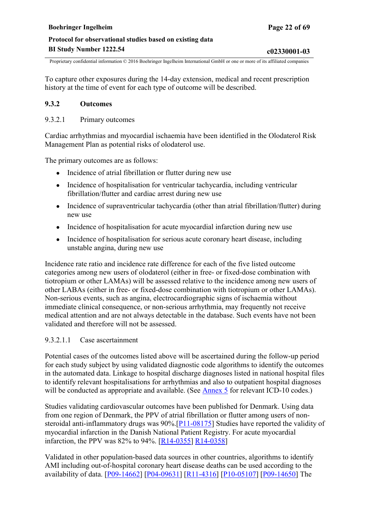<span id="page-21-0"></span>To capture other exposures during the 14-day extension, medical and recent prescription history at the time of event for each type of outcome will be described.

#### **9.3.2 Outcomes**

#### 9.3.2.1 Primary outcomes

Cardiac arrhythmias and myocardial ischaemia have been identified in the Olodaterol Risk Management Plan as potential risks of olodaterol use.

The primary outcomes are as follows:

- Incidence of atrial fibrillation or flutter during new use
- Incidence of hospitalisation for ventricular tachycardia, including ventricular fibrillation/flutter and cardiac arrest during new use
- Incidence of supraventricular tachycardia (other than atrial fibrillation/flutter) during new use
- Incidence of hospitalisation for acute myocardial infarction during new use
- Incidence of hospitalisation for serious acute coronary heart disease, including unstable angina, during new use

Incidence rate ratio and incidence rate difference for each of the five listed outcome categories among new users of olodaterol (either in free- or fixed-dose combination with tiotropium or other LAMAs) will be assessed relative to the incidence among new users of other LABAs (either in free- or fixed-dose combination with tiotropium or other LAMAs). Non-serious events, such as angina, electrocardiographic signs of ischaemia without immediate clinical consequence, or non-serious arrhythmia, may frequently not receive medical attention and are not always detectable in the database. Such events have not been validated and therefore will not be assessed.

#### 9.3.2.1.1 Case ascertainment

Potential cases of the outcomes listed above will be ascertained during the follow-up period for each study subject by using validated diagnostic code algorithms to identify the outcomes in the automated data. Linkage to hospital discharge diagnoses listed in national hospital files to identify relevant hospitalisations for arrhythmias and also to outpatient hospital diagnoses will be conducted as appropriate and available. (See [Annex](#page-62-0) 5 for relevant ICD-10 codes.)

Studies validating cardiovascular outcomes have been published for Denmark. Using data from one region of Denmark, the PPV of atrial fibrillation or flutter among users of nonsteroidal anti-inflammatory drugs was 90%.[[P11-08175\]](#page-43-0) Studies have reported the validity of myocardial infarction in the Danish National Patient Registry. For acute myocardial infarction, the PPV was 82% to 94%. [\[R14-0355](#page-47-0)] [R14-0358](#page-47-0)]

Validated in other population-based data sources in other countries, algorithms to identify AMI including out-of-hospital coronary heart disease deaths can be used according to the availability of data. [[P09-14662\]](#page-43-0) [[P04-09631](#page-43-0)] [\[R11-4316](#page-45-0)] [\[P10-05107](#page-43-0)] [[P09-14650\]](#page-43-0) The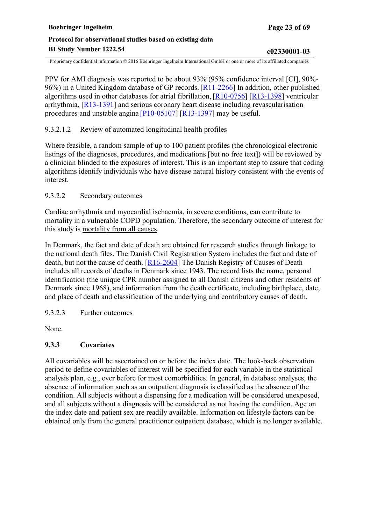<span id="page-22-0"></span>PPV for AMI diagnosis was reported to be about 93% (95% confidence interval [CI], 90%- 96%) in a United Kingdom database of GP records. [[R11-2266\]](#page-45-0) In addition, other published algorithms used in other databases for atrial fibrillation,[\[R10-0756](#page-45-0)] [\[R13-1398](#page-46-0)] ventricular arrhythmia, [[R13-1391\]](#page-46-0) and serious coronary heart disease including revascularisation procedures and unstable angina [\[P10-05107\]](#page-43-0) [[R13-1397\]](#page-46-0) may be useful.

### 9.3.2.1.2 Review of automated longitudinal health profiles

Where feasible, a random sample of up to 100 patient profiles (the chronological electronic listings of the diagnoses, procedures, and medications [but no free text]) will be reviewed by a clinician blinded to the exposures of interest. This is an important step to assure that coding algorithms identify individuals who have disease natural history consistent with the events of interest.

### 9.3.2.2 Secondary outcomes

Cardiac arrhythmia and myocardial ischaemia, in severe conditions, can contribute to mortality in a vulnerable COPD population. Therefore, the secondary outcome of interest for this study is mortality from all causes.

In Denmark, the fact and date of death are obtained for research studies through linkage to the national death files. The Danish Civil Registration System includes the fact and date of death, but not the cause of death. [[R16-2604\]](#page-47-0) The Danish Registry of Causes of Death includes all records of deaths in Denmark since 1943. The record lists the name, personal identification (the unique CPR number assigned to all Danish citizens and other residents of Denmark since 1968), and information from the death certificate, including birthplace, date, and place of death and classification of the underlying and contributory causes of death.

### 9.3.2.3 Further outcomes

None.

### **9.3.3 Covariates**

All covariables will be ascertained on or before the index date. The look-back observation period to define covariables of interest will be specified for each variable in the statistical analysis plan, e.g., ever before for most comorbidities. In general, in database analyses, the absence of information such as an outpatient diagnosis is classified as the absence of the condition. All subjects without a dispensing for a medication will be considered unexposed, and all subjects without a diagnosis will be considered as not having the condition. Age on the index date and patient sex are readily available. Information on lifestyle factors can be obtained only from the general practitioner outpatient database, which is no longer available.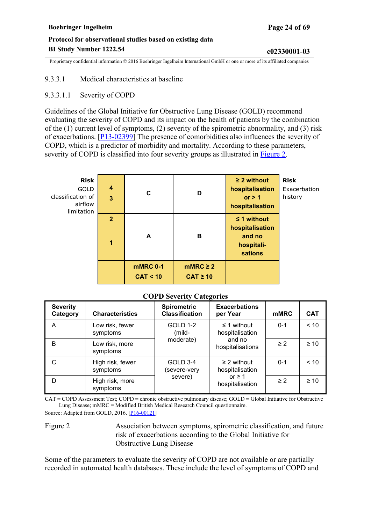#### <span id="page-23-0"></span>9.3.3.1 Medical characteristics at baseline

#### 9.3.3.1.1 Severity of COPD

Guidelines of the Global Initiative for Obstructive Lung Disease (GOLD) recommend evaluating the severity of COPD and its impact on the health of patients by the combination of the (1) current level of symptoms, (2) severity of the spirometric abnormality, and (3) risk of exacerbations. [[P13-02399\]](#page-44-0) The presence of comorbidities also influences the severity of COPD, which is a predictor of morbidity and mortality. According to these parameters, severity of COPD is classified into four severity groups as illustrated in [Figure 2](#page-23-0).

| <b>Risk</b><br><b>GOLD</b><br>classification of<br>airflow<br>limitation | $\boldsymbol{4}$<br>$\overline{3}$ | C                           | D                              | $\geq$ 2 without<br>hospitalisation<br>or $> 1$<br>hospitalisation     | <b>Risk</b><br>Exacerbation<br>history |
|--------------------------------------------------------------------------|------------------------------------|-----------------------------|--------------------------------|------------------------------------------------------------------------|----------------------------------------|
|                                                                          | $\overline{2}$<br>1                | A                           | в                              | $\leq$ 1 without<br>hospitalisation<br>and no<br>hospitali-<br>sations |                                        |
|                                                                          |                                    | <b>mMRC 0-1</b><br>CAT < 10 | $mMRC \geq 2$<br>$CAT \geq 10$ |                                                                        |                                        |

#### **COPD Severity Categories**

| <b>Severity</b><br>Category | <b>Characteristics</b>       | <b>Spirometric</b><br><b>Classification</b> | <b>Exacerbations</b><br>per Year | <b>mMRC</b>                         | <b>CAT</b> |      |
|-----------------------------|------------------------------|---------------------------------------------|----------------------------------|-------------------------------------|------------|------|
| A                           | Low risk, fewer<br>symptoms  | <b>GOLD 1-2</b><br>(mild-<br>moderate)      |                                  | $\leq$ 1 without<br>hospitalisation | $0 - 1$    | < 10 |
| B                           | Low risk, more<br>symptoms   |                                             | and no<br>hospitalisations       | $\geq$ 2                            | $\geq 10$  |      |
| C                           | High risk, fewer<br>symptoms | GOLD 3-4<br>severe-very)                    |                                  | $\geq$ 2 without<br>hospitalisation | $0 - 1$    | < 10 |
| D                           | High risk, more<br>symptoms  | severe)                                     | or $\geq$ 1<br>hospitalisation   | $\geq$ 2                            | $\geq 10$  |      |

CAT = COPD Assessment Test; COPD = chronic obstructive pulmonary disease; GOLD = Global Initiative for Obstructive Lung Disease; mMRC = Modified British Medical Research Council questionnaire.

Source: Adapted from GOLD, 2016. [\[P16-00121\]](#page-44-0)

Figure 2 Association between symptoms, spirometric classification, and future risk of exacerbations according to the Global Initiative for Obstructive Lung Disease

Some of the parameters to evaluate the severity of COPD are not available or are partially recorded in automated health databases. These include the level of symptoms of COPD and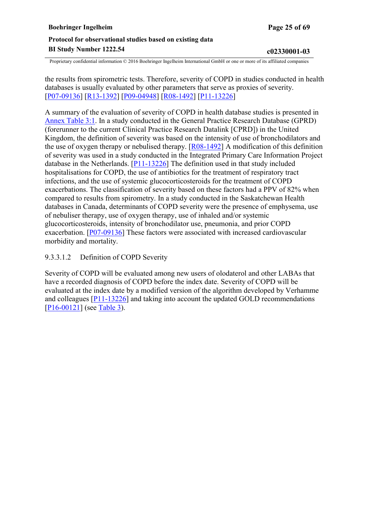<span id="page-24-0"></span>the results from spirometric tests. Therefore, severity of COPD in studies conducted in health databases is usually evaluated by other parameters that serve as proxies of severity. [[P07-09136\]](#page-43-0) [[R13-1392\]](#page-46-0) [[P09-04948](#page-43-0)] [\[R08-1492](#page-44-0)] [\[P11-13226](#page-43-0)]

A summary of the evaluation of severity of COPD in health database studies is presented in [Annex Table 3:1.](#page-58-0) In a study conducted in the General Practice Research Database (GPRD) (forerunner to the current Clinical Practice Research Datalink [CPRD]) in the United Kingdom, the definition of severity was based on the intensity of use of bronchodilators and the use of oxygen therapy or nebulised therapy. [[R08-1492\]](#page-44-0) A modification of this definition of severity was used in a study conducted in the Integrated Primary Care Information Project database in the Netherlands. [\[P11-13226](#page-43-0)] The definition used in that study included hospitalisations for COPD, the use of antibiotics for the treatment of respiratory tract infections, and the use of systemic glucocorticosteroids for the treatment of COPD exacerbations. The classification of severity based on these factors had a PPV of 82% when compared to results from spirometry. In a study conducted in the Saskatchewan Health databases in Canada, determinants of COPD severity were the presence of emphysema, use of nebuliser therapy, use of oxygen therapy, use of inhaled and/or systemic glucocorticosteroids, intensity of bronchodilator use, pneumonia, and prior COPD exacerbation. [\[P07-09136\]](#page-43-0) These factors were associated with increased cardiovascular morbidity and mortality.

#### 9.3.3.1.2 Definition of COPD Severity

Severity of COPD will be evaluated among new users of olodaterol and other LABAs that have a recorded diagnosis of COPD before the index date. Severity of COPD will be evaluated at the index date by a modified version of the algorithm developed by Verhamme and colleagues [[P11-13226\]](#page-43-0) and taking into account the updated GOLD recommendations [P<sub>16</sub>-0012<sub>1</sub>] (see [Table](#page-25-0) 3).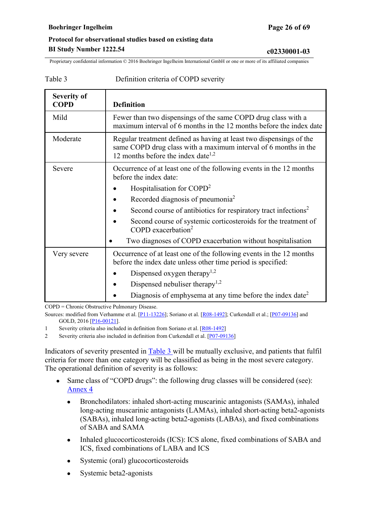<span id="page-25-0"></span>Proprietary confidential information © 2016 Boehringer Ingelheim International GmbH or one or more of its affiliated companies

Table 3 Definition criteria of COPD severity

| <b>Severity of</b><br><b>COPD</b> | <b>Definition</b>                                                                                                                                                                        |
|-----------------------------------|------------------------------------------------------------------------------------------------------------------------------------------------------------------------------------------|
| Mild                              | Fewer than two dispensings of the same COPD drug class with a<br>maximum interval of 6 months in the 12 months before the index date                                                     |
| Moderate                          | Regular treatment defined as having at least two dispensings of the<br>same COPD drug class with a maximum interval of 6 months in the<br>12 months before the index date <sup>1,2</sup> |
| Severe                            | Occurrence of at least one of the following events in the 12 months<br>before the index date:                                                                                            |
|                                   | Hospitalisation for COPD <sup>2</sup>                                                                                                                                                    |
|                                   | Recorded diagnosis of pneumonia <sup>2</sup>                                                                                                                                             |
|                                   | Second course of antibiotics for respiratory tract infections <sup>2</sup>                                                                                                               |
|                                   | Second course of systemic corticosteroids for the treatment of<br>COPD exacerbation <sup>2</sup>                                                                                         |
|                                   | Two diagnoses of COPD exacerbation without hospitalisation                                                                                                                               |
| Very severe                       | Occurrence of at least one of the following events in the 12 months<br>before the index date unless other time period is specified:                                                      |
|                                   | Dispensed oxygen therapy <sup>1,2</sup>                                                                                                                                                  |
|                                   | Dispensed nebuliser therapy <sup>1,2</sup>                                                                                                                                               |
|                                   | Diagnosis of emphysema at any time before the index date <sup>2</sup>                                                                                                                    |

COPD = Chronic Obstructive Pulmonary Disease.

1 Severity criteria also included in definition from Soriano et al. [[R08-1492\]](#page-44-0)

2 Severity criteria also included in definition from Curkendall et al. [[P07-09136](#page-43-0)]

Indicators of severity presented in [Table 3](#page-25-0) will be mutually exclusive, and patients that fulfil criteria for more than one category will be classified as being in the most severe category. The operational definition of severity is as follows:

- Same class of "COPD drugs": the following drug classes will be considered (see): [Annex](#page-60-0) 4
	- Bronchodilators: inhaled short-acting muscarinic antagonists (SAMAs), inhaled long-acting muscarinic antagonists (LAMAs), inhaled short-acting beta2-agonists (SABAs), inhaled long-acting beta2-agonists (LABAs), and fixed combinations of SABA and SAMA
	- Inhaled glucocorticosteroids (ICS): ICS alone, fixed combinations of SABA and ICS, fixed combinations of LABA and ICS
	- Systemic (oral) glucocorticosteroids
	- Systemic beta2-agonists

Sources: modified from Verhamme et al. [[P11-13226](#page-43-0)]; Soriano et al. [\[R08-1492](#page-44-0)]; Curkendall et al.; [\[P07-09136\]](#page-43-0) and GOLD, 2016 [P<sub>16-00121</sub>].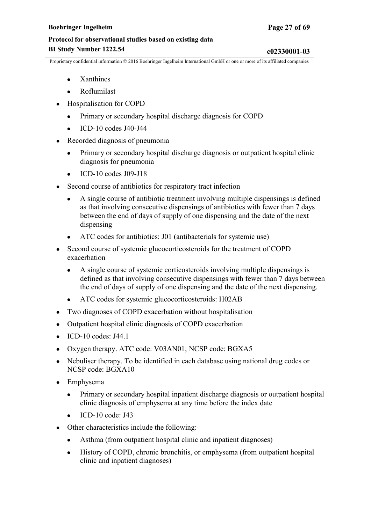- Xanthines
- **Roflumilast**
- Hospitalisation for COPD
	- Primary or secondary hospital discharge diagnosis for COPD
	- $\bullet$  ICD-10 codes J40-J44
- Recorded diagnosis of pneumonia
	- Primary or secondary hospital discharge diagnosis or outpatient hospital clinic diagnosis for pneumonia
	- ICD-10 codes J09-J18
- Second course of antibiotics for respiratory tract infection
	- A single course of antibiotic treatment involving multiple dispensings is defined as that involving consecutive dispensings of antibiotics with fewer than 7 days between the end of days of supply of one dispensing and the date of the next dispensing
	- ATC codes for antibiotics: J01 (antibacterials for systemic use)
- Second course of systemic glucocorticosteroids for the treatment of COPD exacerbation
	- A single course of systemic corticosteroids involving multiple dispensings is defined as that involving consecutive dispensings with fewer than 7 days between the end of days of supply of one dispensing and the date of the next dispensing.
	- ATC codes for systemic glucocorticosteroids: H02AB
- Two diagnoses of COPD exacerbation without hospitalisation
- Outpatient hospital clinic diagnosis of COPD exacerbation
- $\bullet$  ICD-10 codes: J44.1
- Oxygen therapy. ATC code: V03AN01; NCSP code: BGXA5
- Nebuliser therapy. To be identified in each database using national drug codes or NCSP code: BGXA10
- Emphysema
	- Primary or secondary hospital inpatient discharge diagnosis or outpatient hospital clinic diagnosis of emphysema at any time before the index date
	- $ICD-10$  code: J43
- Other characteristics include the following:
	- Asthma (from outpatient hospital clinic and inpatient diagnoses)
	- History of COPD, chronic bronchitis, or emphysema (from outpatient hospital clinic and inpatient diagnoses)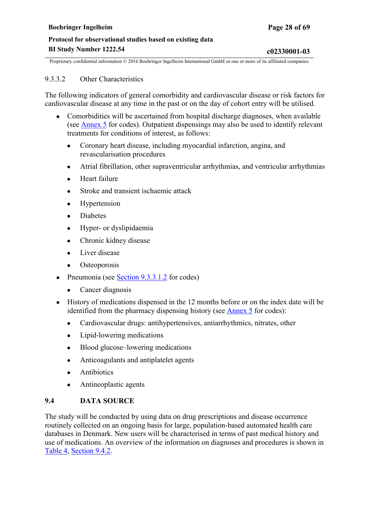#### <span id="page-27-0"></span>9.3.3.2 Other Characteristics

The following indicators of general comorbidity and cardiovascular disease or risk factors for cardiovascular disease at any time in the past or on the day of cohort entry will be utilised.

- Comorbidities will be ascertained from hospital discharge diagnoses, when available (see [Annex](#page-62-0) 5 for codes). Outpatient dispensings may also be used to identify relevant treatments for conditions of interest, as follows:
	- Coronary heart disease, including myocardial infarction, angina, and revascularisation procedures
	- Atrial fibrillation, other supraventricular arrhythmias, and ventricular arrhythmias
	- **Heart failure**
	- Stroke and transient ischaemic attack
	- Hypertension
	- Diabetes
	- Hyper- or dyslipidaemia
	- Chronic kidney disease
	- Liver disease
	- Osteoporosis
- Pneumonia (see  $Section 9.3.3.1.2$  $Section 9.3.3.1.2$  for codes)
	- Cancer diagnosis
- History of medications dispensed in the 12 months before or on the index date will be identified from the pharmacy dispensing history (see [Annex](#page-62-0) 5 for codes):
	- Cardiovascular drugs: antihypertensives, antiarrhythmics, nitrates, other
	- Lipid-lowering medications
	- Blood glucose–lowering medications
	- Anticoagulants and antiplatelet agents
	- Antibiotics
	- Antineoplastic agents

### **9.4 DATA SOURCE**

The study will be conducted by using data on drug prescriptions and disease occurrence routinely collected on an ongoing basis for large, population-based automated health care databases in Denmark. New users will be characterised in terms of past medical history and use of medications. An overview of the information on diagnoses and procedures is shown in [Table 4](#page-28-0), [Section 9.4.2](#page-28-0).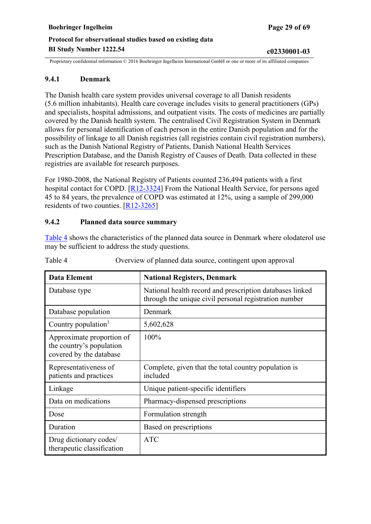### <span id="page-28-0"></span>**9.4.1 Denmark**

The Danish health care system provides universal coverage to all Danish residents (5.6 million inhabitants). Health care coverage includes visits to general practitioners (GPs) and specialists, hospital admissions, and outpatient visits. The costs of medicines are partially covered by the Danish health system. The centralised Civil Registration System in Denmark allows for personal identification of each person in the entire Danish population and for the possibility of linkage to all Danish registries (all registries contain civil registration numbers), such as the Danish National Registry of Patients, Danish National Health Services Prescription Database, and the Danish Registry of Causes of Death. Data collected in these registries are available for research purposes.

For 1980-2008, the National Registry of Patients counted 236,494 patients with a first hospital contact for COPD. [[R12-3324\]](#page-46-0) From the National Health Service, for persons aged 45 to 84 years, the prevalence of COPD was estimated at 12%, using a sample of 299,000 residents of two counties. [[R12-3265\]](#page-45-0)

### **9.4.2 Planned data source summary**

[Table 4](#page-28-0) shows the characteristics of the planned data source in Denmark where olodaterol use may be sufficient to address the study questions.

| Data Element                                                                     | <b>National Registers, Denmark</b>                                                                                |
|----------------------------------------------------------------------------------|-------------------------------------------------------------------------------------------------------------------|
| Database type                                                                    | National health record and prescription databases linked<br>through the unique civil personal registration number |
| Database population                                                              | Denmark                                                                                                           |
| Country population <sup>1</sup>                                                  | 5,602,628                                                                                                         |
| Approximate proportion of<br>the country's population<br>covered by the database | $100\%$                                                                                                           |
| Representativeness of<br>patients and practices                                  | Complete, given that the total country population is<br>included                                                  |
| Linkage                                                                          | Unique patient-specific identifiers                                                                               |
| Data on medications                                                              | Pharmacy-dispensed prescriptions                                                                                  |
| Dose                                                                             | Formulation strength                                                                                              |
| Duration                                                                         | Based on prescriptions                                                                                            |
| Drug dictionary codes/<br>therapeutic classification                             | <b>ATC</b>                                                                                                        |

Table 4 Overview of planned data source, contingent upon approval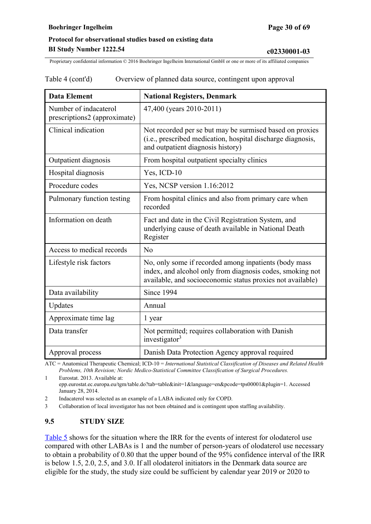<span id="page-29-0"></span>

| Table 4 (cont'd) | Overview of planned data source, contingent upon approval |  |
|------------------|-----------------------------------------------------------|--|
|                  |                                                           |  |

| <b>Data Element</b>                                   | <b>National Registers, Denmark</b>                                                                                                                                               |
|-------------------------------------------------------|----------------------------------------------------------------------------------------------------------------------------------------------------------------------------------|
| Number of indacaterol<br>prescriptions2 (approximate) | 47,400 (years 2010-2011)                                                                                                                                                         |
| Clinical indication                                   | Not recorded per se but may be surmised based on proxies<br>(i.e., prescribed medication, hospital discharge diagnosis,<br>and outpatient diagnosis history)                     |
| Outpatient diagnosis                                  | From hospital outpatient specialty clinics                                                                                                                                       |
| Hospital diagnosis                                    | Yes, ICD-10                                                                                                                                                                      |
| Procedure codes                                       | Yes, NCSP version 1.16:2012                                                                                                                                                      |
| Pulmonary function testing                            | From hospital clinics and also from primary care when<br>recorded                                                                                                                |
| Information on death                                  | Fact and date in the Civil Registration System, and<br>underlying cause of death available in National Death<br>Register                                                         |
| Access to medical records                             | No                                                                                                                                                                               |
| Lifestyle risk factors                                | No, only some if recorded among inpatients (body mass<br>index, and alcohol only from diagnosis codes, smoking not<br>available, and socioeconomic status proxies not available) |
| Data availability                                     | Since 1994                                                                                                                                                                       |
| Updates                                               | Annual                                                                                                                                                                           |
| Approximate time lag                                  | 1 year                                                                                                                                                                           |
| Data transfer                                         | Not permitted; requires collaboration with Danish<br>investigator <sup>3</sup>                                                                                                   |
| Approval process                                      | Danish Data Protection Agency approval required                                                                                                                                  |

ATC = Anatomical Therapeutic Chemical; ICD-10 = *International Statistical Classification of Diseases and Related Health Problems, 10th Revision; Nordic Medico-Statistical Committee Classification of Surgical Procedures.*

1 Eurostat. 2013. Available at: epp.eurostat.ec.europa.eu/tgm/table.do?tab=table&init=1&language=en&pcode=tps00001&plugin=1. Accessed January 28, 2014.

2 Indacaterol was selected as an example of a LABA indicated only for COPD.

3 Collaboration of local investigator has not been obtained and is contingent upon staffing availability.

### **9.5 STUDY SIZE**

[Table 5](#page-31-0) shows for the situation where the IRR for the events of interest for olodaterol use compared with other LABAs is 1 and the number of person-years of olodaterol use necessary to obtain a probability of 0.80 that the upper bound of the 95% confidence interval of the IRR is below 1.5, 2.0, 2.5, and 3.0. If all olodaterol initiators in the Denmark data source are eligible for the study, the study size could be sufficient by calendar year 2019 or 2020 to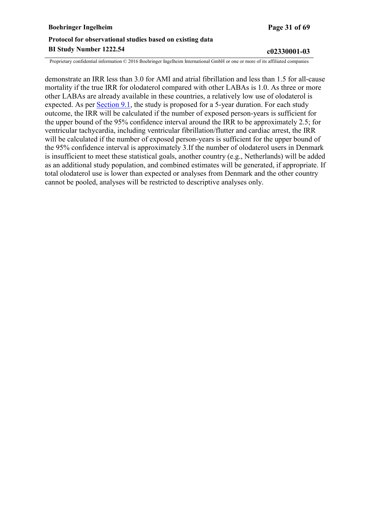| <b>Boehringer Ingelheim</b>                               | Page 31 of 69 |  |
|-----------------------------------------------------------|---------------|--|
| Protocol for observational studies based on existing data |               |  |
| <b>BI Study Number 1222.54</b>                            | c02330001-03  |  |

demonstrate an IRR less than 3.0 for AMI and atrial fibrillation and less than 1.5 for all-cause mortality if the true IRR for olodaterol compared with other LABAs is 1.0. As three or more other LABAs are already available in these countries, a relatively low use of olodaterol is expected. As per [Section](#page-17-0) 9.1, the study is proposed for a 5-year duration. For each study outcome, the IRR will be calculated if the number of exposed person-years is sufficient for the upper bound of the 95% confidence interval around the IRR to be approximately 2.5; for ventricular tachycardia, including ventricular fibrillation/flutter and cardiac arrest, the IRR will be calculated if the number of exposed person-years is sufficient for the upper bound of the 95% confidence interval is approximately 3.If the number of olodaterol users in Denmark is insufficient to meet these statistical goals, another country (e.g., Netherlands) will be added as an additional study population, and combined estimates will be generated, if appropriate. If total olodaterol use is lower than expected or analyses from Denmark and the other country cannot be pooled, analyses will be restricted to descriptive analyses only.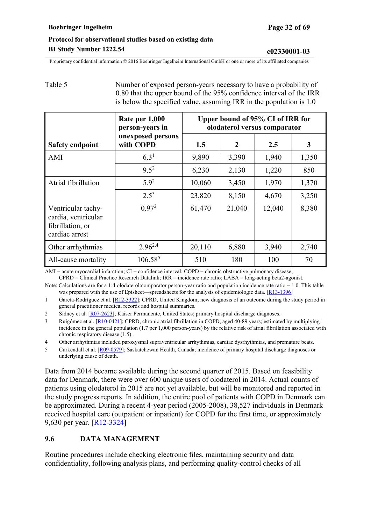<span id="page-31-0"></span>Proprietary confidential information © 2016 Boehringer Ingelheim International GmbH or one or more of its affiliated companies

# Table 5 Number of exposed person-years necessary to have a probability of

0.80 that the upper bound of the 95% confidence interval of the IRR is below the specified value, assuming IRR in the population is 1.0

|                                                                                 | Rate per 1,000<br>person-years in | Upper bound of 95% CI of IRR for<br>olodaterol versus comparator |              |        |       |
|---------------------------------------------------------------------------------|-----------------------------------|------------------------------------------------------------------|--------------|--------|-------|
| <b>Safety endpoint</b>                                                          | unexposed persons<br>with COPD    | 1.5                                                              | $\mathbf{2}$ | 2.5    | 3     |
| AMI                                                                             | $6.3^{1}$                         | 9,890                                                            | 3,390        | 1,940  | 1,350 |
|                                                                                 | $9.5^2$                           | 6,230                                                            | 2,130        | 1,220  | 850   |
| Atrial fibrillation                                                             | $5.9^{2}$                         | 10,060                                                           | 3,450        | 1,970  | 1,370 |
|                                                                                 | $2.5^{3}$                         | 23,820                                                           | 8,150        | 4,670  | 3,250 |
| Ventricular tachy-<br>cardia, ventricular<br>fibrillation, or<br>cardiac arrest | 0.97 <sup>2</sup>                 | 61,470                                                           | 21,040       | 12,040 | 8,380 |
| Other arrhythmias                                                               | $2.96^{2,4}$                      | 20,110                                                           | 6,880        | 3,940  | 2,740 |
| All-cause mortality                                                             | $106.58^{5}$                      | 510                                                              | 180          | 100    | 70    |

AMI = acute myocardial infarction; CI = confidence interval; COPD = chronic obstructive pulmonary disease; CPRD = Clinical Practice Research Datalink; IRR = incidence rate ratio; LABA = long-acting beta2-agonist.

Note: Calculations are for a 1:4 olodaterol:comparator person-year ratio and population incidence rate ratio = 1.0. This table was prepared with the use of Episheet—spreadsheets for the analysis of epidemiologic data.  $[R13-1396]$ 

1 García-Rodríguez et al. [\[R12-3322](#page-46-0)]; CPRD, United Kingdom; new diagnosis of an outcome during the study period in general practitioner medical records and hospital summaries.

2 Sidney et al. [[R07-2623\]](#page-44-0); Kaiser Permanente, United States; primary hospital discharge diagnoses.

3 Ruigómez et al. [[R10-0421\]](#page-45-0); CPRD, chronic atrial fibrillation in COPD, aged 40-89 years; estimated by multiplying incidence in the general population (1.7 per 1,000 person-years) by the relative risk of atrial fibrillation associated with chronic respiratory disease (1.5).

4 Other arrhythmias included paroxysmal supraventricular arrhythmias, cardiac dysrhythmias, and premature beats.

5 Curkendall et al. [[R09-0579\]](#page-44-0); Saskatchewan Health, Canada; incidence of primary hospital discharge diagnoses or underlying cause of death.

Data from 2014 became available during the second quarter of 2015. Based on feasibility data for Denmark, there were over 600 unique users of olodaterol in 2014. Actual counts of patients using olodaterol in 2015 are not yet available, but will be monitored and reported in the study progress reports. In addition, the entire pool of patients with COPD in Denmark can be approximated. During a recent 4-year period (2005-2008), 38,527 individuals in Denmark received hospital care (outpatient or inpatient) for COPD for the first time, or approximately 9,630 per year. [[R12-3324\]](#page-46-0)

### **9.6 DATA MANAGEMENT**

Routine procedures include checking electronic files, maintaining security and data confidentiality, following analysis plans, and performing quality-control checks of all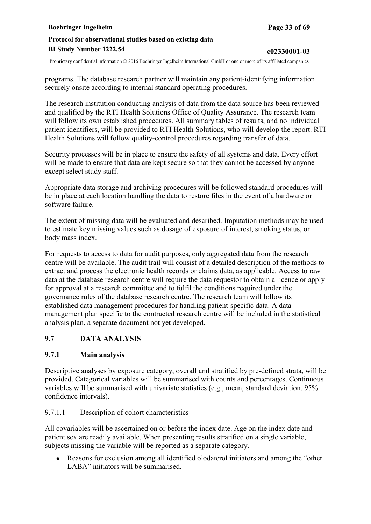<span id="page-32-0"></span>programs. The database research partner will maintain any patient-identifying information securely onsite according to internal standard operating procedures.

The research institution conducting analysis of data from the data source has been reviewed and qualified by the RTI Health Solutions Office of Quality Assurance. The research team will follow its own established procedures. All summary tables of results, and no individual patient identifiers, will be provided to RTI Health Solutions, who will develop the report. RTI Health Solutions will follow quality-control procedures regarding transfer of data.

Security processes will be in place to ensure the safety of all systems and data. Every effort will be made to ensure that data are kept secure so that they cannot be accessed by anyone except select study staff.

Appropriate data storage and archiving procedures will be followed standard procedures will be in place at each location handling the data to restore files in the event of a hardware or software failure.

The extent of missing data will be evaluated and described. Imputation methods may be used to estimate key missing values such as dosage of exposure of interest, smoking status, or body mass index.

For requests to access to data for audit purposes, only aggregated data from the research centre will be available. The audit trail will consist of a detailed description of the methods to extract and process the electronic health records or claims data, as applicable. Access to raw data at the database research centre will require the data requestor to obtain a licence or apply for approval at a research committee and to fulfil the conditions required under the governance rules of the database research centre. The research team will follow its established data management procedures for handling patient-specific data. A data management plan specific to the contracted research centre will be included in the statistical analysis plan, a separate document not yet developed.

### **9.7 DATA ANALYSIS**

### **9.7.1 Main analysis**

Descriptive analyses by exposure category, overall and stratified by pre-defined strata, will be provided. Categorical variables will be summarised with counts and percentages. Continuous variables will be summarised with univariate statistics (e.g., mean, standard deviation, 95% confidence intervals).

#### 9.7.1.1 Description of cohort characteristics

All covariables will be ascertained on or before the index date. Age on the index date and patient sex are readily available. When presenting results stratified on a single variable, subjects missing the variable will be reported as a separate category.

• Reasons for exclusion among all identified olodaterol initiators and among the "other LABA" initiators will be summarised.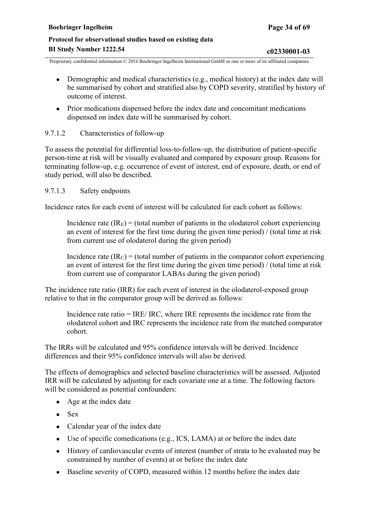- <span id="page-33-0"></span>• Demographic and medical characteristics (e.g., medical history) at the index date will be summarised by cohort and stratified also by COPD severity, stratified by history of outcome of interest.
- Prior medications dispensed before the index date and concomitant medications dispensed on index date will be summarised by cohort.

### 9.7.1.2 Characteristics of follow-up

To assess the potential for differential loss-to-follow-up, the distribution of patient-specific person-time at risk will be visually evaluated and compared by exposure group. Reasons for terminating follow-up, e.g. occurrence of event of interest, end of exposure, death, or end of study period, will also be described.

#### 9.7.1.3 Safety endpoints

Incidence rates for each event of interest will be calculated for each cohort as follows:

Incidence rate  $(IR<sub>E</sub>)$  = (total number of patients in the olodaterol cohort experiencing an event of interest for the first time during the given time period) / (total time at risk from current use of olodaterol during the given period)

Incidence rate  $(IR<sub>C</sub>) =$  (total number of patients in the comparator cohort experiencing an event of interest for the first time during the given time period) / (total time at risk from current use of comparator LABAs during the given period)

The incidence rate ratio (IRR) for each event of interest in the olodaterol-exposed group relative to that in the comparator group will be derived as follows:

Incidence rate ratio = IRE/ IRC, where IRE represents the incidence rate from the olodaterol cohort and IRC represents the incidence rate from the matched comparator cohort.

The IRRs will be calculated and 95% confidence intervals will be derived. Incidence differences and their 95% confidence intervals will also be derived.

The effects of demographics and selected baseline characteristics will be assessed. Adjusted IRR will be calculated by adjusting for each covariate one at a time. The following factors will be considered as potential confounders:

- Age at the index date
- $\bullet$  Sex
- Calendar year of the index date
- Use of specific comedications (e.g., ICS, LAMA) at or before the index date
- History of cardiovascular events of interest (number of strata to be evaluated may be constrained by number of events) at or before the index date
- Baseline severity of COPD, measured within 12 months before the index date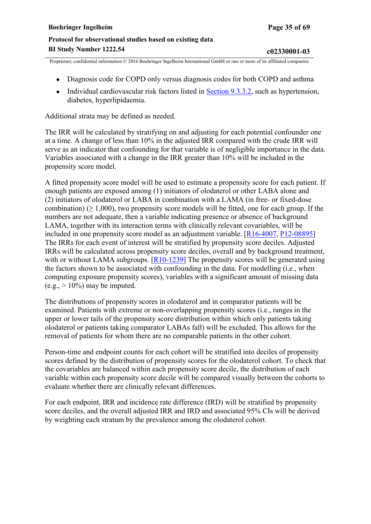- Diagnosis code for COPD only versus diagnosis codes for both COPD and asthma
- Individual cardiovascular risk factors listed in [Section](#page-27-0) 9.3.3.2, such as hypertension, diabetes, hyperlipidaemia.

Additional strata may be defined as needed.

The IRR will be calculated by stratifying on and adjusting for each potential confounder one at a time. A change of less than 10% in the adjusted IRR compared with the crude IRR will serve as an indicator that confounding for that variable is of negligible importance in the data. Variables associated with a change in the IRR greater than 10% will be included in the propensity score model.

A fitted propensity score model will be used to estimate a propensity score for each patient. If enough patients are exposed among (1) initiators of olodaterol or other LABA alone and (2) initiators of olodaterol or LABA in combination with a LAMA (in free- or fixed-dose combination) ( $\geq 1,000$ ), two propensity score models will be fitted, one for each group. If the numbers are not adequate, then a variable indicating presence or absence of background LAMA, together with its interaction terms with clinically relevant covariables, will be included in one propensity score model as an adjustment variable. [[R16-4007,](#page-47-0) [P12-08895](#page-43-0)] The IRRs for each event of interest will be stratified by propensity score deciles. Adjusted IRRs will be calculated across propensity score deciles, overall and by background treatment, with or without LAMA subgroups.  $[R10-1239]$  $[R10-1239]$  The propensity scores will be generated using the factors shown to be associated with confounding in the data. For modelling (i.e., when computing exposure propensity scores), variables with a significant amount of missing data  $(e.g., > 10\%)$  may be imputed.

The distributions of propensity scores in olodaterol and in comparator patients will be examined. Patients with extreme or non-overlapping propensity scores (i.e., ranges in the upper or lower tails of the propensity score distribution within which only patients taking olodaterol or patients taking comparator LABAs fall) will be excluded. This allows for the removal of patients for whom there are no comparable patients in the other cohort.

Person-time and endpoint counts for each cohort will be stratified into deciles of propensity scores defined by the distribution of propensity scores for the olodaterol cohort. To check that the covariables are balanced within each propensity score decile, the distribution of each variable within each propensity score decile will be compared visually between the cohorts to evaluate whether there are clinically relevant differences.

For each endpoint, IRR and incidence rate difference (IRD) will be stratified by propensity score deciles, and the overall adjusted IRR and IRD and associated 95% CIs will be derived by weighting each stratum by the prevalence among the olodaterol cohort.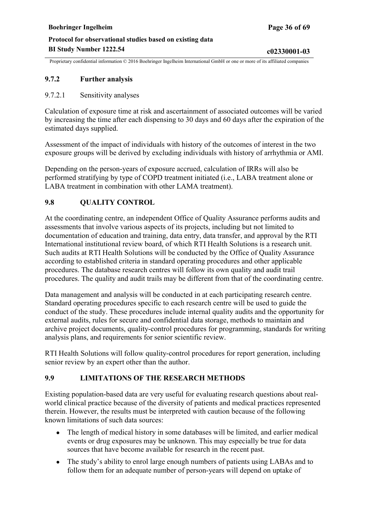### <span id="page-35-0"></span>**9.7.2 Further analysis**

9.7.2.1 Sensitivity analyses

Calculation of exposure time at risk and ascertainment of associated outcomes will be varied by increasing the time after each dispensing to 30 days and 60 days after the expiration of the estimated days supplied.

Assessment of the impact of individuals with history of the outcomes of interest in the two exposure groups will be derived by excluding individuals with history of arrhythmia or AMI.

Depending on the person-years of exposure accrued, calculation of IRRs will also be performed stratifying by type of COPD treatment initiated (i.e., LABA treatment alone or LABA treatment in combination with other LAMA treatment).

### **9.8 QUALITY CONTROL**

At the coordinating centre, an independent Office of Quality Assurance performs audits and assessments that involve various aspects of its projects, including but not limited to documentation of education and training, data entry, data transfer, and approval by the RTI International institutional review board, of which RTI Health Solutions is a research unit. Such audits at RTI Health Solutions will be conducted by the Office of Quality Assurance according to established criteria in standard operating procedures and other applicable procedures. The database research centres will follow its own quality and audit trail procedures. The quality and audit trails may be different from that of the coordinating centre.

Data management and analysis will be conducted in at each participating research centre. Standard operating procedures specific to each research centre will be used to guide the conduct of the study. These procedures include internal quality audits and the opportunity for external audits, rules for secure and confidential data storage, methods to maintain and archive project documents, quality-control procedures for programming, standards for writing analysis plans, and requirements for senior scientific review.

RTI Health Solutions will follow quality-control procedures for report generation, including senior review by an expert other than the author.

### **9.9 LIMITATIONS OF THE RESEARCH METHODS**

Existing population-based data are very useful for evaluating research questions about realworld clinical practice because of the diversity of patients and medical practices represented therein. However, the results must be interpreted with caution because of the following known limitations of such data sources:

- The length of medical history in some databases will be limited, and earlier medical events or drug exposures may be unknown. This may especially be true for data sources that have become available for research in the recent past.
- The study's ability to enrol large enough numbers of patients using LABAs and to follow them for an adequate number of person-years will depend on uptake of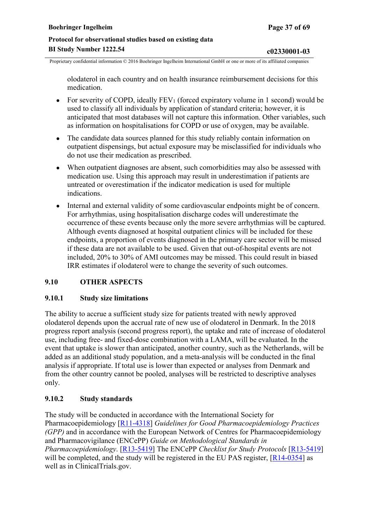<span id="page-36-0"></span>olodaterol in each country and on health insurance reimbursement decisions for this medication.

- For severity of COPD, ideally  $FEV_1$  (forced expiratory volume in 1 second) would be used to classify all individuals by application of standard criteria; however, it is anticipated that most databases will not capture this information. Other variables, such as information on hospitalisations for COPD or use of oxygen, may be available.
- The candidate data sources planned for this study reliably contain information on outpatient dispensings, but actual exposure may be misclassified for individuals who do not use their medication as prescribed.
- When outpatient diagnoses are absent, such comorbidities may also be assessed with medication use. Using this approach may result in underestimation if patients are untreated or overestimation if the indicator medication is used for multiple indications.
- Internal and external validity of some cardiovascular endpoints might be of concern. For arrhythmias, using hospitalisation discharge codes will underestimate the occurrence of these events because only the more severe arrhythmias will be captured. Although events diagnosed at hospital outpatient clinics will be included for these endpoints, a proportion of events diagnosed in the primary care sector will be missed if these data are not available to be used. Given that out-of-hospital events are not included, 20% to 30% of AMI outcomes may be missed. This could result in biased IRR estimates if olodaterol were to change the severity of such outcomes.

### **9.10 OTHER ASPECTS**

#### **9.10.1 Study size limitations**

The ability to accrue a sufficient study size for patients treated with newly approved olodaterol depends upon the accrual rate of new use of olodaterol in Denmark. In the 2018 progress report analysis (second progress report), the uptake and rate of increase of olodaterol use, including free- and fixed-dose combination with a LAMA, will be evaluated. In the event that uptake is slower than anticipated, another country, such as the Netherlands, will be added as an additional study population, and a meta-analysis will be conducted in the final analysis if appropriate. If total use is lower than expected or analyses from Denmark and from the other country cannot be pooled, analyses will be restricted to descriptive analyses only.

### **9.10.2 Study standards**

The study will be conducted in accordance with the International Society for Pharmacoepidemiology [[R11-4318\]](#page-45-0) *Guidelines for Good Pharmacoepidemiology Practices (GPP)* and in accordance with the European Network of Centres for Pharmacoepidemiology and Pharmacovigilance (ENCePP) *Guide on Methodological Standards in Pharmacoepidemiology*. [[R13-5419\]](#page-47-0) The ENCePP *Checklist for Study Protocols* [[R13-5419](#page-47-0)] will be completed, and the study will be registered in the EU PAS register, [\[R14-0354](#page-47-0)] as well as in ClinicalTrials.gov.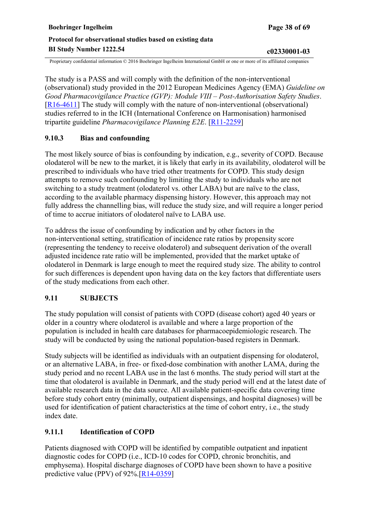<span id="page-37-0"></span>The study is a PASS and will comply with the definition of the non-interventional (observational) study provided in the 2012 European Medicines Agency (EMA) *Guideline on Good Pharmacovigilance Practice (GVP): Module VIII – Post-Authorisation Safety Studies*. [[R16-4611](#page-47-0)] The study will comply with the nature of non-interventional (observational) studies referred to in the ICH (International Conference on Harmonisation) harmonised tripartite guideline *Pharmacovigilance Planning E2E*. [[R11-2259\]](#page-45-0)

### **9.10.3 Bias and confounding**

The most likely source of bias is confounding by indication, e.g., severity of COPD. Because olodaterol will be new to the market, it is likely that early in its availability, olodaterol will be prescribed to individuals who have tried other treatments for COPD. This study design attempts to remove such confounding by limiting the study to individuals who are not switching to a study treatment (olodaterol vs. other LABA) but are naïve to the class, according to the available pharmacy dispensing history. However, this approach may not fully address the channelling bias, will reduce the study size, and will require a longer period of time to accrue initiators of olodaterol naïve to LABA use.

To address the issue of confounding by indication and by other factors in the non-interventional setting, stratification of incidence rate ratios by propensity score (representing the tendency to receive olodaterol) and subsequent derivation of the overall adjusted incidence rate ratio will be implemented, provided that the market uptake of olodaterol in Denmark is large enough to meet the required study size. The ability to control for such differences is dependent upon having data on the key factors that differentiate users of the study medications from each other.

### **9.11 SUBJECTS**

The study population will consist of patients with COPD (disease cohort) aged 40 years or older in a country where olodaterol is available and where a large proportion of the population is included in health care databases for pharmacoepidemiologic research. The study will be conducted by using the national population-based registers in Denmark.

Study subjects will be identified as individuals with an outpatient dispensing for olodaterol, or an alternative LABA, in free- or fixed-dose combination with another LAMA, during the study period and no recent LABA use in the last 6 months. The study period will start at the time that olodaterol is available in Denmark, and the study period will end at the latest date of available research data in the data source. All available patient-specific data covering time before study cohort entry (minimally, outpatient dispensings, and hospital diagnoses) will be used for identification of patient characteristics at the time of cohort entry, i.e., the study index date.

### **9.11.1 Identification of COPD**

Patients diagnosed with COPD will be identified by compatible outpatient and inpatient diagnostic codes for COPD (i.e., ICD-10 codes for COPD, chronic bronchitis, and emphysema). Hospital discharge diagnoses of COPD have been shown to have a positive predictive value (PPV) of 92%.[[R14-0359\]](#page-47-0)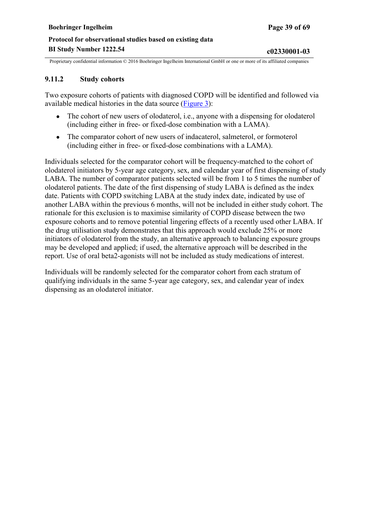### <span id="page-38-0"></span>**9.11.2 Study cohorts**

Two exposure cohorts of patients with diagnosed COPD will be identified and followed via available medical histories in the data source [\(Figure 3\)](#page-39-0):

- The cohort of new users of olodaterol, i.e., anyone with a dispensing for olodaterol (including either in free- or fixed-dose combination with a LAMA).
- The comparator cohort of new users of indacaterol, salmeterol, or formoterol (including either in free- or fixed-dose combinations with a LAMA).

Individuals selected for the comparator cohort will be frequency-matched to the cohort of olodaterol initiators by 5-year age category, sex, and calendar year of first dispensing of study LABA. The number of comparator patients selected will be from 1 to 5 times the number of olodaterol patients. The date of the first dispensing of study LABA is defined as the index date. Patients with COPD switching LABA at the study index date, indicated by use of another LABA within the previous 6 months, will not be included in either study cohort. The rationale for this exclusion is to maximise similarity of COPD disease between the two exposure cohorts and to remove potential lingering effects of a recently used other LABA. If the drug utilisation study demonstrates that this approach would exclude 25% or more initiators of olodaterol from the study, an alternative approach to balancing exposure groups may be developed and applied; if used, the alternative approach will be described in the report. Use of oral beta2-agonists will not be included as study medications of interest.

Individuals will be randomly selected for the comparator cohort from each stratum of qualifying individuals in the same 5-year age category, sex, and calendar year of index dispensing as an olodaterol initiator.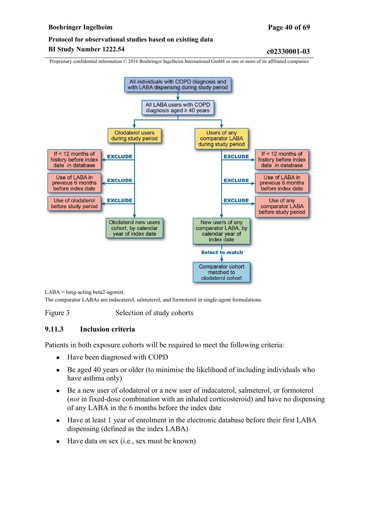<span id="page-39-0"></span>Proprietary confidential information © 2016 Boehringer Ingelheim International GmbH or one or more of its affiliated companies



LABA = long-acting beta2-agonist.

The comparator LABAs are indacaterol, salmeterol, and formoterol in single-agent formulations.

Figure 3 Selection of study cohorts

### **9.11.3 Inclusion criteria**

Patients in both exposure cohorts will be required to meet the following criteria:

- Have been diagnosed with COPD
- Be aged 40 years or older (to minimise the likelihood of including individuals who have asthma only)
- Be a new user of olodaterol or a new user of indacaterol, salmeterol, or formoterol (*not* in fixed-dose combination with an inhaled corticosteroid) and have no dispensing of any LABA in the 6 months before the index date
- Have at least 1 year of enrolment in the electronic database before their first LABA dispensing (defined as the index LABA)
- $\bullet$  Have data on sex (i.e., sex must be known)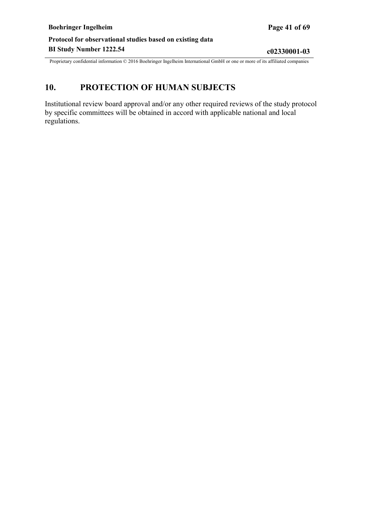# <span id="page-40-0"></span>**10. PROTECTION OF HUMAN SUBJECTS**

Institutional review board approval and/or any other required reviews of the study protocol by specific committees will be obtained in accord with applicable national and local regulations.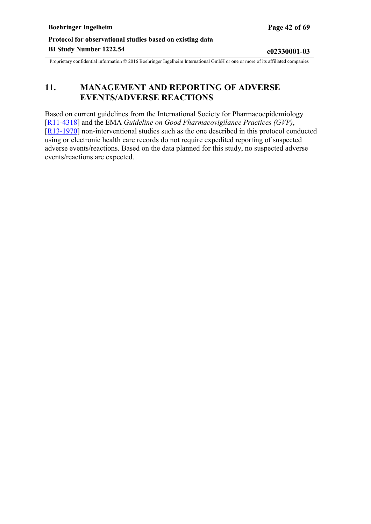# <span id="page-41-0"></span>**11. MANAGEMENT AND REPORTING OF ADVERSE EVENTS/ADVERSE REACTIONS**

Based on current guidelines from the International Society for Pharmacoepidemiology [[R11-4318](#page-45-0)] and the EMA *Guideline on Good Pharmacovigilance Practices (GVP)*, [[R13-1970](#page-46-0)] non-interventional studies such as the one described in this protocol conducted using or electronic health care records do not require expedited reporting of suspected adverse events/reactions. Based on the data planned for this study, no suspected adverse events/reactions are expected.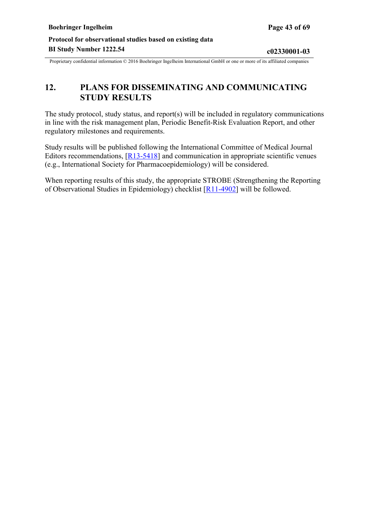# <span id="page-42-0"></span>**12. PLANS FOR DISSEMINATING AND COMMUNICATING STUDY RESULTS**

The study protocol, study status, and report(s) will be included in regulatory communications in line with the risk management plan, Periodic Benefit-Risk Evaluation Report, and other regulatory milestones and requirements.

Study results will be published following the International Committee of Medical Journal Editors recommendations, [[R13-5418](#page-46-0)] and communication in appropriate scientific venues (e.g., International Society for Pharmacoepidemiology) will be considered.

When reporting results of this study, the appropriate STROBE (Strengthening the Reporting of Observational Studies in Epidemiology) checklist [[R11-4902\]](#page-45-0) will be followed.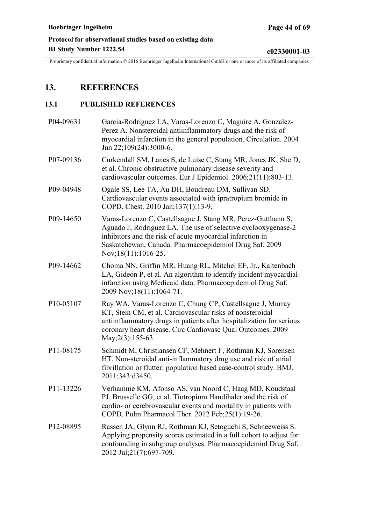# <span id="page-43-0"></span>**13. REFERENCES**

### **13.1 PUBLISHED REFERENCES**

| P04-09631              | Garcia-Rodriguez LA, Varas-Lorenzo C, Maguire A, Gonzalez-<br>Perez A. Nonsteroidal antiinflammatory drugs and the risk of<br>myocardial infarction in the general population. Circulation. 2004<br>Jun 22;109(24):3000-6.                                                          |
|------------------------|-------------------------------------------------------------------------------------------------------------------------------------------------------------------------------------------------------------------------------------------------------------------------------------|
| P07-09136              | Curkendall SM, Lanes S, de Luise C, Stang MR, Jones JK, She D,<br>et al. Chronic obstructive pulmonary disease severity and<br>cardiovascular outcomes. Eur J Epidemiol. 2006;21(11):803-13.                                                                                        |
| P09-04948              | Ogale SS, Lee TA, Au DH, Boudreau DM, Sullivan SD.<br>Cardiovascular events associated with ipratropium bromide in<br>COPD. Chest. 2010 Jan;137(1):13-9.                                                                                                                            |
| P09-14650              | Varas-Lorenzo C, Castellsague J, Stang MR, Perez-Gutthann S,<br>Aguado J, Rodriguez LA. The use of selective cyclooxygenase-2<br>inhibitors and the risk of acute myocardial infarction in<br>Saskatchewan, Canada. Pharmacoepidemiol Drug Saf. 2009<br>Nov;18(11):1016-25.         |
| P09-14662              | Choma NN, Griffin MR, Huang RL, Mitchel EF, Jr., Kaltenbach<br>LA, Gideon P, et al. An algorithm to identify incident myocardial<br>infarction using Medicaid data. Pharmacoepidemiol Drug Saf.<br>2009 Nov; 18(11): 1064-71.                                                       |
| P10-05107              | Ray WA, Varas-Lorenzo C, Chung CP, Castellsague J, Murray<br>KT, Stein CM, et al. Cardiovascular risks of nonsteroidal<br>antiinflammatory drugs in patients after hospitalization for serious<br>coronary heart disease. Circ Cardiovasc Qual Outcomes. 2009<br>May; 2(3): 155-63. |
| P11-08175              | Schmidt M, Christiansen CF, Mehnert F, Rothman KJ, Sorensen<br>HT. Non-steroidal anti-inflammatory drug use and risk of atrial<br>fibrillation or flutter: population based case-control study. BMJ.<br>2011;343:d3450.                                                             |
| P11-13226              | Verhamme KM, Afonso AS, van Noord C, Haag MD, Koudstaal<br>PJ, Brusselle GG, et al. Tiotropium Handihaler and the risk of<br>cardio- or cerebrovascular events and mortality in patients with<br>COPD. Pulm Pharmacol Ther. 2012 Feb;25(1):19-26.                                   |
| P <sub>12</sub> -08895 | Rassen JA, Glynn RJ, Rothman KJ, Setoguchi S, Schneeweiss S.<br>Applying propensity scores estimated in a full cohort to adjust for<br>confounding in subgroup analyses. Pharmacoepidemiol Drug Saf.<br>2012 Jul;21(7):697-709.                                                     |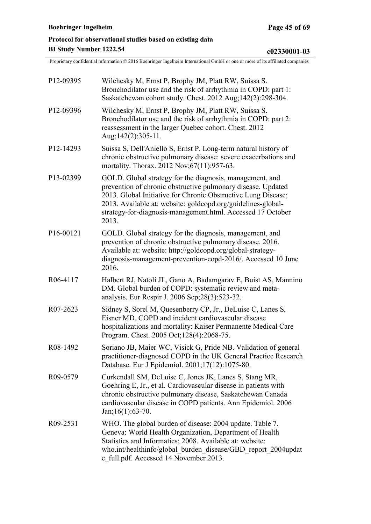<span id="page-44-0"></span>

| P <sub>12</sub> -09395 | Wilchesky M, Ernst P, Brophy JM, Platt RW, Suissa S.<br>Bronchodilator use and the risk of arrhythmia in COPD: part 1:<br>Saskatchewan cohort study. Chest. 2012 Aug; 142(2): 298-304.                                                                                                                                            |
|------------------------|-----------------------------------------------------------------------------------------------------------------------------------------------------------------------------------------------------------------------------------------------------------------------------------------------------------------------------------|
| P12-09396              | Wilchesky M, Ernst P, Brophy JM, Platt RW, Suissa S.<br>Bronchodilator use and the risk of arrhythmia in COPD: part 2:<br>reassessment in the larger Quebec cohort. Chest. 2012<br>Aug;142(2):305-11.                                                                                                                             |
| P <sub>12</sub> -14293 | Suissa S, Dell'Aniello S, Ernst P. Long-term natural history of<br>chronic obstructive pulmonary disease: severe exacerbations and<br>mortality. Thorax. 2012 Nov; 67(11): 957-63.                                                                                                                                                |
| P13-02399              | GOLD. Global strategy for the diagnosis, management, and<br>prevention of chronic obstructive pulmonary disease. Updated<br>2013. Global Initiative for Chronic Obstructive Lung Disease;<br>2013. Available at: website: goldcopd.org/guidelines-global-<br>strategy-for-diagnosis-management.html. Accessed 17 October<br>2013. |
| P16-00121              | GOLD. Global strategy for the diagnosis, management, and<br>prevention of chronic obstructive pulmonary disease. 2016.<br>Available at: website: http://goldcopd.org/global-strategy-<br>diagnosis-management-prevention-copd-2016/. Accessed 10 June<br>2016.                                                                    |
| R06-4117               | Halbert RJ, Natoli JL, Gano A, Badamgarav E, Buist AS, Mannino<br>DM. Global burden of COPD: systematic review and meta-<br>analysis. Eur Respir J. 2006 Sep; 28(3): 523-32.                                                                                                                                                      |
| R07-2623               | Sidney S, Sorel M, Quesenberry CP, Jr., DeLuise C, Lanes S,<br>Eisner MD. COPD and incident cardiovascular disease<br>hospitalizations and mortality: Kaiser Permanente Medical Care<br>Program. Chest. 2005 Oct; 128(4): 2068-75.                                                                                                |
| R08-1492               | Soriano JB, Maier WC, Visick G, Pride NB. Validation of general<br>practitioner-diagnosed COPD in the UK General Practice Research<br>Database. Eur J Epidemiol. 2001;17(12):1075-80.                                                                                                                                             |
| R09-0579               | Curkendall SM, DeLuise C, Jones JK, Lanes S, Stang MR,<br>Goehring E, Jr., et al. Cardiovascular disease in patients with<br>chronic obstructive pulmonary disease, Saskatchewan Canada<br>cardiovascular disease in COPD patients. Ann Epidemiol. 2006<br>$Jan;16(1):63-70.$                                                     |
| R09-2531               | WHO. The global burden of disease: 2004 update. Table 7.<br>Geneva: World Health Organization, Department of Health<br>Statistics and Informatics; 2008. Available at: website:<br>who.int/healthinfo/global burden disease/GBD report 2004updat<br>e full.pdf. Accessed 14 November 2013.                                        |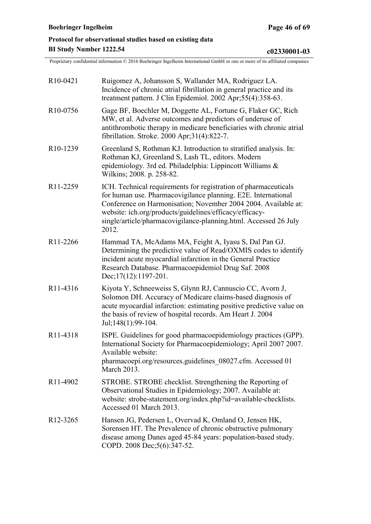<span id="page-45-0"></span>

| R <sub>10</sub> -0421             | Ruigomez A, Johansson S, Wallander MA, Rodriguez LA.<br>Incidence of chronic atrial fibrillation in general practice and its<br>treatment pattern. J Clin Epidemiol. 2002 Apr;55(4):358-63.                                                                                                                                                |
|-----------------------------------|--------------------------------------------------------------------------------------------------------------------------------------------------------------------------------------------------------------------------------------------------------------------------------------------------------------------------------------------|
| R <sub>10</sub> -0756             | Gage BF, Boechler M, Doggette AL, Fortune G, Flaker GC, Rich<br>MW, et al. Adverse outcomes and predictors of underuse of<br>antithrombotic therapy in medicare beneficiaries with chronic atrial<br>fibrillation. Stroke. 2000 Apr;31(4):822-7.                                                                                           |
| R <sub>10</sub> -1239             | Greenland S, Rothman KJ. Introduction to stratified analysis. In:<br>Rothman KJ, Greenland S, Lash TL, editors. Modern<br>epidemiology. 3rd ed. Philadelphia: Lippincott Williams &<br>Wilkins; 2008. p. 258-82.                                                                                                                           |
| R11-2259                          | ICH. Technical requirements for registration of pharmaceuticals<br>for human use. Pharmacovigilance planning. E2E. International<br>Conference on Harmonisation; November 2004 2004. Available at:<br>website: ich.org/products/guidelines/efficacy/efficacy-<br>single/article/pharmacovigilance-planning.html. Accessed 26 July<br>2012. |
| R <sub>11</sub> -2266             | Hammad TA, McAdams MA, Feight A, Iyasu S, Dal Pan GJ.<br>Determining the predictive value of Read/OXMIS codes to identify<br>incident acute myocardial infarction in the General Practice<br>Research Database. Pharmacoepidemiol Drug Saf. 2008<br>Dec; $17(12): 1197-201$ .                                                              |
| R11-4316                          | Kiyota Y, Schneeweiss S, Glynn RJ, Cannuscio CC, Avorn J,<br>Solomon DH. Accuracy of Medicare claims-based diagnosis of<br>acute myocardial infarction: estimating positive predictive value on<br>the basis of review of hospital records. Am Heart J. 2004<br>Jul;148(1):99-104.                                                         |
| R <sub>11</sub> -43 <sub>18</sub> | ISPE. Guidelines for good pharmacoepidemiology practices (GPP).<br>International Society for Pharmacoepidemiology; April 2007 2007.<br>Available website:<br>pharmacoepi.org/resources.guidelines 08027.cfm. Accessed 01<br>March 2013.                                                                                                    |
| R11-4902                          | STROBE. STROBE checklist. Strengthening the Reporting of<br>Observational Studies in Epidemiology; 2007. Available at:<br>website: strobe-statement.org/index.php?id=available-checklists.<br>Accessed 01 March 2013.                                                                                                                      |
| R <sub>12</sub> -3265             | Hansen JG, Pedersen L, Overvad K, Omland O, Jensen HK,<br>Sorensen HT. The Prevalence of chronic obstructive pulmonary<br>disease among Danes aged 45-84 years: population-based study.<br>COPD. 2008 Dec;5(6):347-52.                                                                                                                     |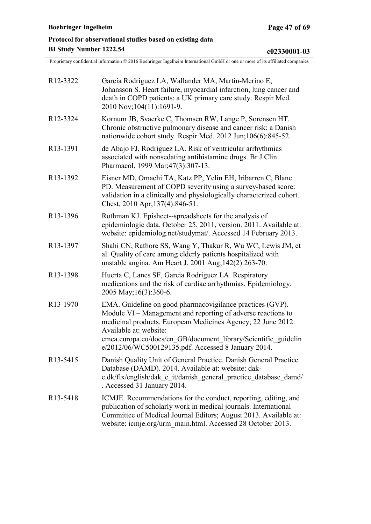<span id="page-46-0"></span>

| R <sub>12</sub> -3322             | García Rodríguez LA, Wallander MA, Martin-Merino E,<br>Johansson S. Heart failure, myocardial infarction, lung cancer and<br>death in COPD patients: a UK primary care study. Respir Med.<br>2010 Nov; 104(11): 1691-9.                                                                                                                      |
|-----------------------------------|----------------------------------------------------------------------------------------------------------------------------------------------------------------------------------------------------------------------------------------------------------------------------------------------------------------------------------------------|
| R <sub>12</sub> -3324             | Kornum JB, Svaerke C, Thomsen RW, Lange P, Sorensen HT.<br>Chronic obstructive pulmonary disease and cancer risk: a Danish<br>nationwide cohort study. Respir Med. 2012 Jun;106(6):845-52.                                                                                                                                                   |
| R <sub>13</sub> -1391             | de Abajo FJ, Rodriguez LA. Risk of ventricular arrhythmias<br>associated with nonsedating antihistamine drugs. Br J Clin<br>Pharmacol. 1999 Mar; 47(3): 307-13.                                                                                                                                                                              |
| R <sub>13</sub> -1392             | Eisner MD, Omachi TA, Katz PP, Yelin EH, Iribarren C, Blanc<br>PD. Measurement of COPD severity using a survey-based score:<br>validation in a clinically and physiologically characterized cohort.<br>Chest. 2010 Apr; 137(4): 846-51.                                                                                                      |
| R <sub>13</sub> -1396             | Rothman KJ. Episheet--spreadsheets for the analysis of<br>epidemiologic data. October 25, 2011, version. 2011. Available at:<br>website: epidemiolog.net/studymat/. Accessed 14 February 2013.                                                                                                                                               |
| R <sub>13</sub> -1397             | Shahi CN, Rathore SS, Wang Y, Thakur R, Wu WC, Lewis JM, et<br>al. Quality of care among elderly patients hospitalized with<br>unstable angina. Am Heart J. 2001 Aug; 142(2): 263-70.                                                                                                                                                        |
| R <sub>13</sub> -1398             | Huerta C, Lanes SF, Garcia Rodriguez LA. Respiratory<br>medications and the risk of cardiac arrhythmias. Epidemiology.<br>2005 May; 16(3): 360-6.                                                                                                                                                                                            |
| R <sub>13</sub> -1970             | EMA. Guideline on good pharmacovigilance practices (GVP).<br>Module VI – Management and reporting of adverse reactions to<br>medicinal products. European Medicines Agency; 22 June 2012.<br>Available at: website:<br>emea.europa.eu/docs/en GB/document library/Scientific guidelin<br>e/2012/06/WC500129135.pdf. Accessed 8 January 2014. |
| R <sub>13</sub> -54 <sub>15</sub> | Danish Quality Unit of General Practice. Danish General Practice<br>Database (DAMD). 2014. Available at: website: dak-<br>e.dk/flx/english/dak_e_it/danish_general_practice_database_damd/<br>. Accessed 31 January 2014.                                                                                                                    |
| R <sub>13</sub> -5418             | ICMJE. Recommendations for the conduct, reporting, editing, and<br>publication of scholarly work in medical journals. International<br>Committee of Medical Journal Editors; August 2013. Available at:<br>website: icmje.org/urm_main.html. Accessed 28 October 2013.                                                                       |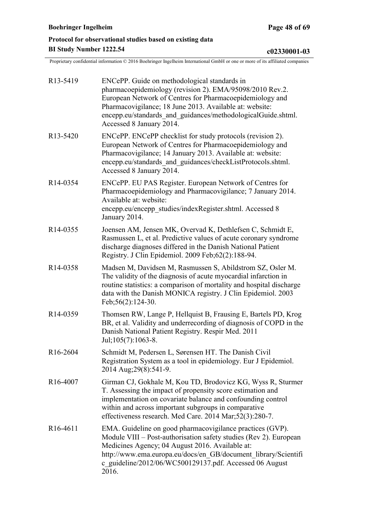<span id="page-47-0"></span>

| R <sub>13</sub> -5419             | ENCePP. Guide on methodological standards in<br>pharmacoepidemiology (revision 2). EMA/95098/2010 Rev.2.<br>European Network of Centres for Pharmacoepidemiology and<br>Pharmacovigilance; 18 June 2013. Available at: website:<br>encepp.eu/standards and guidances/methodologicalGuide.shtml.<br>Accessed 8 January 2014. |
|-----------------------------------|-----------------------------------------------------------------------------------------------------------------------------------------------------------------------------------------------------------------------------------------------------------------------------------------------------------------------------|
| R <sub>13</sub> -5420             | ENCePP. ENCePP checklist for study protocols (revision 2).<br>European Network of Centres for Pharmacoepidemiology and<br>Pharmacovigilance; 14 January 2013. Available at: website:<br>encepp.eu/standards and guidances/checkListProtocols.shtml.<br>Accessed 8 January 2014.                                             |
| R <sub>14</sub> -0354             | ENCePP. EU PAS Register. European Network of Centres for<br>Pharmacoepidemiology and Pharmacovigilance; 7 January 2014.<br>Available at: website:<br>encepp.eu/encepp_studies/indexRegister.shtml. Accessed 8<br>January 2014.                                                                                              |
| R <sub>14</sub> -0355             | Joensen AM, Jensen MK, Overvad K, Dethlefsen C, Schmidt E,<br>Rasmussen L, et al. Predictive values of acute coronary syndrome<br>discharge diagnoses differed in the Danish National Patient<br>Registry. J Clin Epidemiol. 2009 Feb; 62(2): 188-94.                                                                       |
| R <sub>14</sub> -0358             | Madsen M, Davidsen M, Rasmussen S, Abildstrom SZ, Osler M.<br>The validity of the diagnosis of acute myocardial infarction in<br>routine statistics: a comparison of mortality and hospital discharge<br>data with the Danish MONICA registry. J Clin Epidemiol. 2003<br>Feb; 56(2): 124-30.                                |
| R14-0359                          | Thomsen RW, Lange P, Hellquist B, Frausing E, Bartels PD, Krog<br>BR, et al. Validity and underrecording of diagnosis of COPD in the<br>Danish National Patient Registry. Respir Med. 2011<br>Jul;105(7):1063-8.                                                                                                            |
| R <sub>16</sub> -2604             | Schmidt M, Pedersen L, Sørensen HT. The Danish Civil<br>Registration System as a tool in epidemiology. Eur J Epidemiol.<br>2014 Aug; 29(8): 541-9.                                                                                                                                                                          |
| R <sub>16</sub> -4007             | Girman CJ, Gokhale M, Kou TD, Brodovicz KG, Wyss R, Sturmer<br>T. Assessing the impact of propensity score estimation and<br>implementation on covariate balance and confounding control<br>within and across important subgroups in comparative<br>effectiveness research. Med Care. 2014 Mar;52(3):280-7.                 |
| R <sub>16</sub> -46 <sub>11</sub> | EMA. Guideline on good pharmacovigilance practices (GVP).<br>Module VIII – Post-authorisation safety studies (Rev 2). European<br>Medicines Agency; 04 August 2016. Available at:<br>http://www.ema.europa.eu/docs/en GB/document library/Scientifi<br>c_guideline/2012/06/WC500129137.pdf. Accessed 06 August<br>2016.     |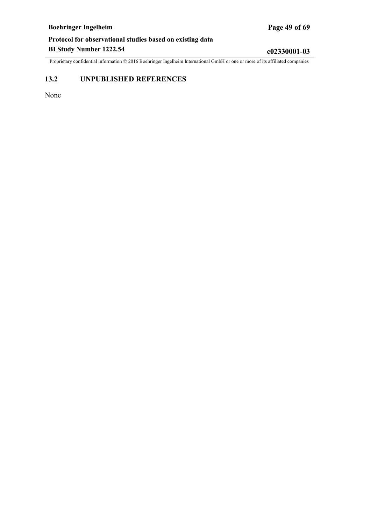<span id="page-48-0"></span>Proprietary confidential information © 2016 Boehringer Ingelheim International GmbH or one or more of its affiliated companies

### **13.2 UNPUBLISHED REFERENCES**

None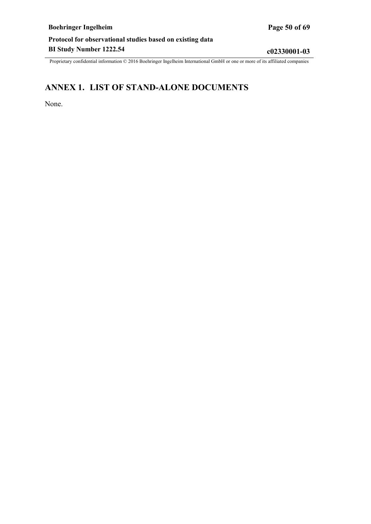# <span id="page-49-0"></span>**ANNEX 1. LIST OF STAND-ALONE DOCUMENTS**

None.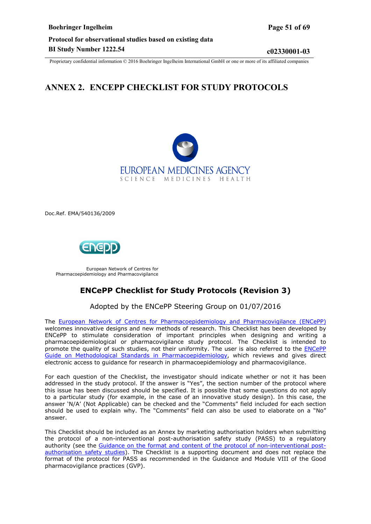# <span id="page-50-0"></span>**ANNEX 2. ENCEPP CHECKLIST FOR STUDY PROTOCOLS**



Doc.Ref. EMA/540136/2009



European Network of Centres for Pharmacoepidemiology and Pharmacovigilance

# **ENCePP Checklist for Study Protocols (Revision 3)**

### Adopted by the ENCePP Steering Group on 01/07/2016

The European Network of Centres for [Pharmacoepidemiology](http://www.encepp.eu/) and Pharmacovigilance (ENCePP) welcomes innovative designs and new methods of research. This Checklist has been developed by ENCePP to stimulate consideration of important principles when designing and writing a pharmacoepidemiological or pharmacovigilance study protocol. The Checklist is intended to promote the quality of such studies, not their uniformity. The user is also referred to the **[ENCePP](http://www.encepp.eu/standards_and_guidances/index.html)** [Guide on Methodological Standards in Pharmacoepidemiology,](http://www.encepp.eu/standards_and_guidances/index.html) which reviews and gives direct electronic access to guidance for research in pharmacoepidemiology and pharmacovigilance.

For each question of the Checklist, the investigator should indicate whether or not it has been addressed in the study protocol. If the answer is "Yes", the section number of the protocol where this issue has been discussed should be specified. It is possible that some questions do not apply to a particular study (for example, in the case of an innovative study design). In this case, the answer 'N/A' (Not Applicable) can be checked and the "Comments" field included for each section should be used to explain why. The "Comments" field can also be used to elaborate on a "No" answer.

This Checklist should be included as an Annex by marketing authorisation holders when submitting the protocol of a non-interventional post-authorisation safety study (PASS) to a regulatory authority (see the Guidance on the format and content of the protocol of [non-interventional](http://www.ema.europa.eu/docs/en_GB/document_library/Other/2012/10/WC500133174.pdf) post[authorisation](http://www.ema.europa.eu/docs/en_GB/document_library/Other/2012/10/WC500133174.pdf) safety studies). The Checklist is a supporting document and does not replace the format of the protocol for PASS as recommended in the Guidance and Module VIII of the Good pharmacovigilance practices (GVP).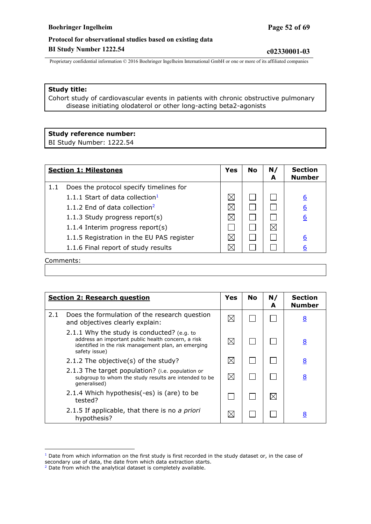Proprietary confidential information © 2016 Boehringer Ingelheim International GmbH or one or more of its affiliated companies

#### **Study title:**

Cohort study of cardiovascular events in patients with chronic obstructive pulmonary disease initiating olodaterol or other long-acting beta2-agonists

#### **Study reference number:**

BI Study Number: 1222.54

<span id="page-51-2"></span><span id="page-51-0"></span>

|     | <b>Section 1: Milestones</b><br>Yes       |             | <b>No</b> | N/<br>A | <b>Section</b><br><b>Number</b> |
|-----|-------------------------------------------|-------------|-----------|---------|---------------------------------|
| 1.1 | Does the protocol specify timelines for   |             |           |         |                                 |
|     | 1.1.1 Start of data collection $1$        | $\boxtimes$ |           |         | <u>6</u>                        |
|     | 1.1.2 End of data collection <sup>2</sup> | $\boxtimes$ |           |         | <u>6</u>                        |
|     | 1.1.3 Study progress report(s)            | $\boxtimes$ |           |         | <u>6</u>                        |
|     | 1.1.4 Interim progress report(s)          |             |           |         |                                 |
|     | 1.1.5 Registration in the EU PAS register | $\bowtie$   |           |         | 6                               |
|     | 1.1.6 Final report of study results       |             |           |         | 6                               |
|     | Comments:                                 |             |           |         |                                 |

**Section 2: Research question Yes No N/ Section Number A** 2.1 Does the formulation of the research question boes the formulation of the research question  $\mathbb{Z} \setminus \mathbb{Z} \setminus \square \setminus \square$ 2.1.1 Why the study is conducted? (e.g. to address an important public health concern, a risk  $\boxtimes$  $\Box$  $\Box$ [8](#page-16-0) identified in the risk management plan, an emerging safety issue) 2.1.2 The objective(s) of the study?  $\boxed{\boxtimes}$   $\boxed{\square}$   $\boxed{\square}$ 2.1.3 The target population? (i.e. population or  $\boxtimes$ subgroup to whom the study results are intended to be  $\Box$  $\Box$ [8](#page-16-0) generalised) 2.1.4 Which hypothesis(-es) is (are) to be  $\Box$  $\Box$ ⊠ tested? 2.1.5 If applicable, that there is no *a priori*  $\Box$   $\Box$   $\Box$   $\Box$  [8](#page-16-0)

 $\overline{a}$ 

<span id="page-51-3"></span> $1$  Date from which information on the first study is first recorded in the study dataset or, in the case of secondary use of data, the date from which data extraction starts.

<span id="page-51-1"></span> $2$  Date from which the analytical dataset is completely available.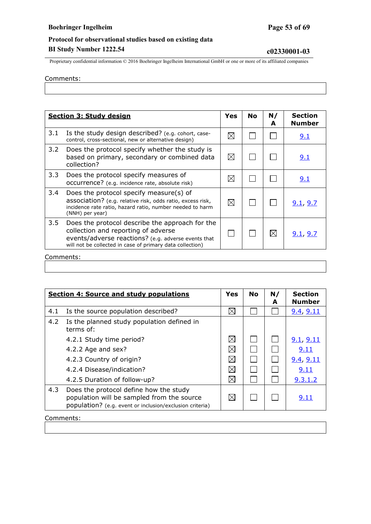Proprietary confidential information © 2016 Boehringer Ingelheim International GmbH or one or more of its affiliated companies

#### Comments:

|                  | <b>Section 3: Study design</b>                                                                                                                                                                             |             | <b>No</b> | N/<br>A     | <b>Section</b><br><b>Number</b> |
|------------------|------------------------------------------------------------------------------------------------------------------------------------------------------------------------------------------------------------|-------------|-----------|-------------|---------------------------------|
| 3.1              | Is the study design described? (e.g. cohort, case-<br>control, cross-sectional, new or alternative design)                                                                                                 | $\boxtimes$ |           |             | 9.1                             |
| 3.2              | Does the protocol specify whether the study is<br>based on primary, secondary or combined data<br>collection?                                                                                              | $\boxtimes$ |           |             | 9.1                             |
| 3.3 <sub>1</sub> | Does the protocol specify measures of<br>occurrence? (e.g. incidence rate, absolute risk)                                                                                                                  | $\boxtimes$ |           |             | 9.1                             |
| 3.4              | Does the protocol specify measure(s) of<br>association? (e.g. relative risk, odds ratio, excess risk,<br>incidence rate ratio, hazard ratio, number needed to harm<br>(NNH) per year)                      | $\boxtimes$ |           |             | 9.1, 9.7                        |
| 3.5              | Does the protocol describe the approach for the<br>collection and reporting of adverse<br>events/adverse reactions? (e.g. adverse events that<br>will not be collected in case of primary data collection) |             |           | $\boxtimes$ | 9.1, 9.7                        |

|     | <b>Section 4: Source and study populations</b>                                                                                                   | <b>Yes</b>  | <b>No</b> | N/<br>A | <b>Section</b><br><b>Number</b> |
|-----|--------------------------------------------------------------------------------------------------------------------------------------------------|-------------|-----------|---------|---------------------------------|
| 4.1 | Is the source population described?                                                                                                              | $\boxtimes$ |           |         | 9.4, 9.11                       |
| 4.2 | Is the planned study population defined in<br>terms of:                                                                                          |             |           |         |                                 |
|     | 4.2.1 Study time period?                                                                                                                         | $\boxtimes$ |           |         | 9.1, 9.11                       |
|     | 4.2.2 Age and sex?                                                                                                                               | $\boxtimes$ |           |         | 9.11                            |
|     | 4.2.3 Country of origin?                                                                                                                         | ⊠           |           |         | 9.4, 9.11                       |
|     | 4.2.4 Disease/indication?                                                                                                                        | ⊠           |           |         | 9.11                            |
|     | 4.2.5 Duration of follow-up?                                                                                                                     | $\boxtimes$ |           |         | 9.3.1.2                         |
| 4.3 | Does the protocol define how the study<br>population will be sampled from the source<br>population? (e.g. event or inclusion/exclusion criteria) | ⊠           |           |         | 9.11                            |

Comments: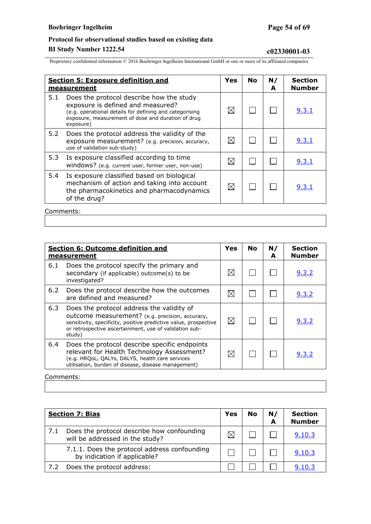# **Protocol for observational studies based on existing data**

# **BI Study Number 1222.54 c02330001-03**

Proprietary confidential information © 2016 Boehringer Ingelheim International GmbH or one or more of its affiliated companies

|     | <b>Section 5: Exposure definition and</b><br>measurement                                                                                                                                                    | Yes         | <b>No</b> | N/<br>A | <b>Section</b><br><b>Number</b> |
|-----|-------------------------------------------------------------------------------------------------------------------------------------------------------------------------------------------------------------|-------------|-----------|---------|---------------------------------|
| 5.1 | Does the protocol describe how the study<br>exposure is defined and measured?<br>(e.g. operational details for defining and categorising<br>exposure, measurement of dose and duration of drug<br>exposure) | $\boxtimes$ |           |         | <u>9.3.1</u>                    |
| 5.2 | Does the protocol address the validity of the<br>exposure measurement? (e.g. precision, accuracy,<br>use of validation sub-study)                                                                           | $\bowtie$   |           |         | <u>9.3.1</u>                    |
| 5.3 | Is exposure classified according to time<br>windows? (e.g. current user, former user, non-use)                                                                                                              | $\boxtimes$ |           |         | <u>9.3.1</u>                    |
| 5.4 | Is exposure classified based on biological<br>mechanism of action and taking into account<br>the pharmacokinetics and pharmacodynamics<br>of the drug?                                                      | $\boxtimes$ |           |         | 9.3.1                           |
|     |                                                                                                                                                                                                             |             |           |         |                                 |

Comments:

|     | <b>Section 6: Outcome definition and</b><br>measurement                                                                                                                                                                              | <b>Yes</b>  | <b>No</b> | N/<br>А | <b>Section</b><br><b>Number</b> |
|-----|--------------------------------------------------------------------------------------------------------------------------------------------------------------------------------------------------------------------------------------|-------------|-----------|---------|---------------------------------|
| 6.1 | Does the protocol specify the primary and<br>secondary (if applicable) outcome(s) to be<br>investigated?                                                                                                                             | ⋉           |           |         | 9.3.2                           |
| 6.2 | Does the protocol describe how the outcomes<br>are defined and measured?                                                                                                                                                             | $\boxtimes$ |           |         | 9.3.2                           |
| 6.3 | Does the protocol address the validity of<br>outcome measurement? (e.g. precision, accuracy,<br>sensitivity, specificity, positive predictive value, prospective<br>or retrospective ascertainment, use of validation sub-<br>study) | $\boxtimes$ |           |         | 9.3.2                           |
| 6.4 | Does the protocol describe specific endpoints<br>relevant for Health Technology Assessment?<br>(e.g. HRQoL, QALYs, DALYS, health care services<br>utilisation, burden of disease, disease management)                                |             |           |         | 9.3.2                           |

#### Comments:

|     | <b>Section 7: Bias</b><br>Yes                                                 |  | <b>No</b> | N/<br>A | <b>Section</b><br><b>Number</b> |
|-----|-------------------------------------------------------------------------------|--|-----------|---------|---------------------------------|
| 7.1 | Does the protocol describe how confounding<br>will be addressed in the study? |  |           |         | 9.10.3                          |
|     | 7.1.1. Does the protocol address confounding<br>by indication if applicable?  |  |           |         | 9.10.3                          |
|     | Does the protocol address:                                                    |  |           |         | 9.10.3                          |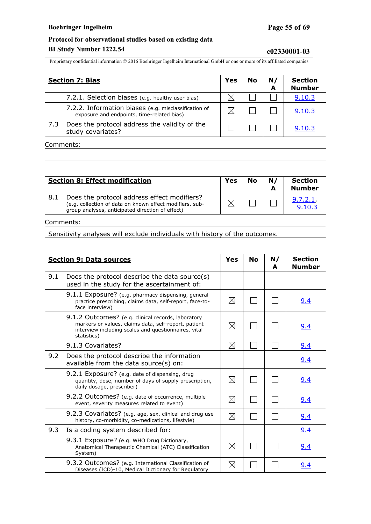Proprietary confidential information © 2016 Boehringer Ingelheim International GmbH or one or more of its affiliated companies

|     | <b>Section 7: Bias</b>                                                                             |  | <b>No</b> | N/<br>A | <b>Section</b><br><b>Number</b> |
|-----|----------------------------------------------------------------------------------------------------|--|-----------|---------|---------------------------------|
|     | 7.2.1. Selection biases (e.g. healthy user bias)                                                   |  |           |         | 9.10.3                          |
|     | 7.2.2. Information biases (e.g. misclassification of<br>exposure and endpoints, time-related bias) |  |           |         | 9.10.3                          |
| 7.3 | Does the protocol address the validity of the<br>study covariates?                                 |  |           |         | 9.10.3                          |
|     | Commonto:                                                                                          |  |           |         |                                 |

#### Comments:

|     | <b>Section 8: Effect modification</b>                                                                                                                       | Yes | <b>No</b> | N/ | <b>Section</b><br><b>Number</b> |
|-----|-------------------------------------------------------------------------------------------------------------------------------------------------------------|-----|-----------|----|---------------------------------|
| 8.1 | Does the protocol address effect modifiers?<br>(e.g. collection of data on known effect modifiers, sub-<br>group analyses, anticipated direction of effect) |     |           |    | <u>9.7.2.1</u><br>9.10.3        |

#### Comments:

Sensitivity analyses will exclude individuals with history of the outcomes.

|     | <b>Section 9: Data sources</b>                                                                                                                                                    |             |  | N/<br>A | <b>Section</b><br><b>Number</b> |
|-----|-----------------------------------------------------------------------------------------------------------------------------------------------------------------------------------|-------------|--|---------|---------------------------------|
| 9.1 | Does the protocol describe the data source(s)<br>used in the study for the ascertainment of:                                                                                      |             |  |         |                                 |
|     | 9.1.1 Exposure? (e.g. pharmacy dispensing, general<br>practice prescribing, claims data, self-report, face-to-<br>face interview)                                                 | $\boxtimes$ |  |         | <u>9.4</u>                      |
|     | 9.1.2 Outcomes? (e.g. clinical records, laboratory<br>markers or values, claims data, self-report, patient<br>interview including scales and questionnaires, vital<br>statistics) | $\boxtimes$ |  |         | 9.4                             |
|     | 9.1.3 Covariates?                                                                                                                                                                 | $\boxtimes$ |  |         | 9.4                             |
| 9.2 | Does the protocol describe the information<br>available from the data source(s) on:                                                                                               |             |  |         | 9.4                             |
|     | 9.2.1 Exposure? (e.g. date of dispensing, drug<br>quantity, dose, number of days of supply prescription,<br>daily dosage, prescriber)                                             | $\boxtimes$ |  |         | 9.4                             |
|     | 9.2.2 Outcomes? (e.g. date of occurrence, multiple<br>event, severity measures related to event)                                                                                  | $\boxtimes$ |  |         | 9.4                             |
|     | 9.2.3 Covariates? (e.g. age, sex, clinical and drug use<br>history, co-morbidity, co-medications, lifestyle)                                                                      | $\boxtimes$ |  |         | 9.4                             |
| 9.3 | Is a coding system described for:                                                                                                                                                 |             |  |         | 9.4                             |
|     | 9.3.1 Exposure? (e.g. WHO Drug Dictionary,<br>Anatomical Therapeutic Chemical (ATC) Classification<br>System)                                                                     | $\boxtimes$ |  |         | <u>9.4</u>                      |
|     | 9.3.2 Outcomes? (e.g. International Classification of<br>Diseases (ICD)-10, Medical Dictionary for Regulatory                                                                     | $\boxtimes$ |  |         | <u>9.4</u>                      |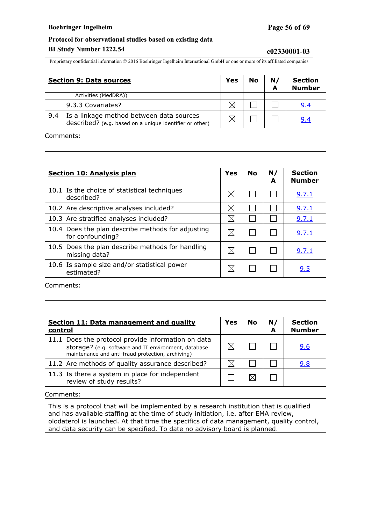Proprietary confidential information © 2016 Boehringer Ingelheim International GmbH or one or more of its affiliated companies

|           | <b>Section 9: Data sources</b>                                                                      | Yes | No | N/ | <b>Section</b><br><b>Number</b> |
|-----------|-----------------------------------------------------------------------------------------------------|-----|----|----|---------------------------------|
|           | Activities (MedDRA))                                                                                |     |    |    |                                 |
|           | 9.3.3 Covariates?                                                                                   | ⊠   |    |    | 9.4                             |
| 9.4       | Is a linkage method between data sources<br>described? (e.g. based on a unique identifier or other) | ⊠   |    |    | 9.4                             |
| Comments: |                                                                                                     |     |    |    |                                 |

**Section 10: Analysis plan Yes No N/ A Section Number** 10.1 Is the choice of statistical techniques described? described?  $\mathbb{C}$  and  $\mathbb{C}$  are discribed? 10.2 Are descriptive analyses included?  $\Box \boxtimes \Box \Box \Box \Box$  [9.7.1](#page-32-0) 10.3 Are stratified analyses included?  $\boxtimes$   $\boxtimes$   $\Box$ 10.4 Does the plan describe methods for adjusting boes the plan describe methods for adjusting  $\mathbb{Z} \mid \mathbb{Z} \mid \square \mid \square$  | [9.7.1](#page-32-0) 10.5 Does the plan describe methods for handling Does the plan describe methods for nandling  $\mathbb{Z} \mid \mathbb{Z} \mid \square \mid \square$  | [9.7.1](#page-32-0) 10.6 Is sample size and/or statistical power  $\mathsf{d}$  estimated? estimated?

Comments:

| Section 11: Data management and quality<br>control                                                                                                              |  | No | N/ | <b>Section</b><br><b>Number</b> |
|-----------------------------------------------------------------------------------------------------------------------------------------------------------------|--|----|----|---------------------------------|
| 11.1 Does the protocol provide information on data<br>storage? (e.g. software and IT environment, database<br>maintenance and anti-fraud protection, archiving) |  |    |    | 9.6                             |
| 11.2 Are methods of quality assurance described?                                                                                                                |  |    |    | 9.8                             |
| 11.3 Is there a system in place for independent<br>review of study results?                                                                                     |  |    |    |                                 |

Comments:

This is a protocol that will be implemented by a research institution that is qualified and has available staffing at the time of study initiation, i.e. after EMA review, olodaterol is launched. At that time the specifics of data management, quality control, and data security can be specified. To date no advisory board is planned.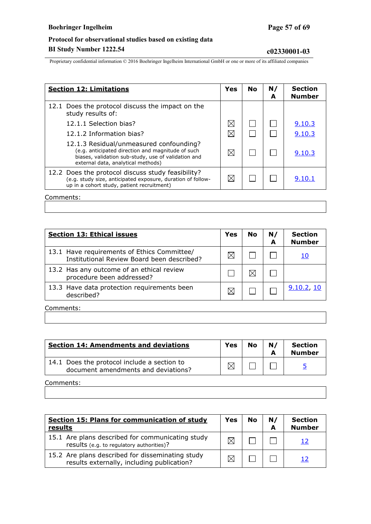### **Boehringer Ingelheim Page 57 of 69**

# **Protocol for observational studies based on existing data BI Study Number 1222.54 c02330001-03**

Proprietary confidential information © 2016 Boehringer Ingelheim International GmbH or one or more of its affiliated companies

| <b>Section 12: Limitations</b>                                                                                                                                                            |             | <b>No</b> | N/<br>A | <b>Section</b><br><b>Number</b> |
|-------------------------------------------------------------------------------------------------------------------------------------------------------------------------------------------|-------------|-----------|---------|---------------------------------|
| 12.1 Does the protocol discuss the impact on the<br>study results of:                                                                                                                     |             |           |         |                                 |
| 12.1.1 Selection bias?                                                                                                                                                                    | $\boxtimes$ |           |         | 9.10.3                          |
| 12.1.2 Information bias?                                                                                                                                                                  | $\boxtimes$ |           |         | 9.10.3                          |
| 12.1.3 Residual/unmeasured confounding?<br>(e.g. anticipated direction and magnitude of such<br>biases, validation sub-study, use of validation and<br>external data, analytical methods) | $\boxtimes$ |           |         | 9.10.3                          |
| 12.2 Does the protocol discuss study feasibility?<br>(e.g. study size, anticipated exposure, duration of follow-<br>up in a cohort study, patient recruitment)                            | ⊠           |           |         | 9.10.1                          |
|                                                                                                                                                                                           |             |           |         |                                 |

Comments:

| <b>Section 13: Ethical issues</b>                                                         | Yes | <b>No</b> | N/<br>А | <b>Section</b><br><b>Number</b> |
|-------------------------------------------------------------------------------------------|-----|-----------|---------|---------------------------------|
| 13.1 Have requirements of Ethics Committee/<br>Institutional Review Board been described? |     |           |         | 10                              |
| 13.2 Has any outcome of an ethical review<br>procedure been addressed?                    |     |           |         |                                 |
| 13.3 Have data protection requirements been<br>described?                                 |     |           |         | 9.10.2, 10                      |
| Comments:                                                                                 |     |           |         |                                 |

**Section 14: Amendments and deviations Yes No N/ A Section Number** 14.1 Does the protocol include a section to Does the protocol include a section to<br>document amendments and deviations?  $\Box \Box \Box \Box$ 

Comments:

| Section 15: Plans for communication of study<br>results | Yes | <b>No</b> | N/ | <b>Section</b><br>Number |
|---------------------------------------------------------|-----|-----------|----|--------------------------|
|                                                         |     |           |    |                          |

| 15.1 Are plans described for communicating study<br>results (e.g. to regulatory authorities)?  |  |  |
|------------------------------------------------------------------------------------------------|--|--|
| 15.2 Are plans described for disseminating study<br>results externally, including publication? |  |  |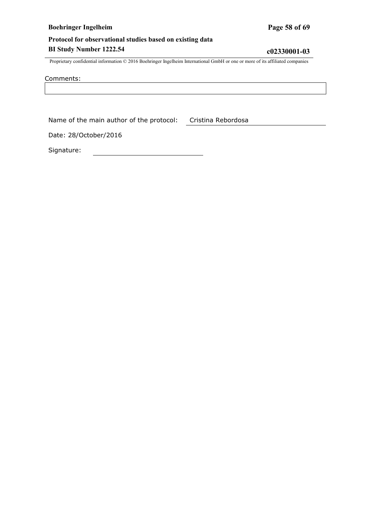### **Boehringer Ingelheim Page 58 of 69**

# **Protocol for observational studies based on existing data BI Study Number 1222.54 c02330001-03**

Proprietary confidential information © 2016 Boehringer Ingelheim International GmbH or one or more of its affiliated companies

Comments:

Name of the main author of the protocol: Cristina Rebordosa

Date: 28/October/2016

Signature: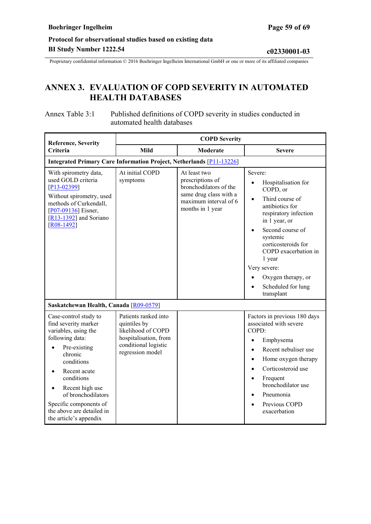<span id="page-58-0"></span>Proprietary confidential information © 2016 Boehringer Ingelheim International GmbH or one or more of its affiliated companies

# **ANNEX 3. EVALUATION OF COPD SEVERITY IN AUTOMATED HEALTH DATABASES**

#### Annex Table 3:1 Published definitions of COPD severity in studies conducted in automated health databases

| <b>Reference, Severity</b>                                                                                                                                                                                                                                                                             |                                                                                                                                 | <b>COPD Severity</b>                                                                                                              |                                                                                                                                                                                                                                                                                                                              |  |  |  |  |
|--------------------------------------------------------------------------------------------------------------------------------------------------------------------------------------------------------------------------------------------------------------------------------------------------------|---------------------------------------------------------------------------------------------------------------------------------|-----------------------------------------------------------------------------------------------------------------------------------|------------------------------------------------------------------------------------------------------------------------------------------------------------------------------------------------------------------------------------------------------------------------------------------------------------------------------|--|--|--|--|
| Criteria                                                                                                                                                                                                                                                                                               | <b>Mild</b>                                                                                                                     | Moderate                                                                                                                          | <b>Severe</b>                                                                                                                                                                                                                                                                                                                |  |  |  |  |
| <b>Integrated Primary Care Information Project, Netherlands [P11-13226]</b>                                                                                                                                                                                                                            |                                                                                                                                 |                                                                                                                                   |                                                                                                                                                                                                                                                                                                                              |  |  |  |  |
| With spirometry data,<br>used GOLD criteria<br>$[P13-02399]$<br>Without spirometry, used<br>methods of Curkendall,<br>$[$ P07-09136] Eisner,<br>$[R13-1392]$ and Soriano<br>$[R08-1492]$                                                                                                               | At initial COPD<br>symptoms                                                                                                     | At least two<br>prescriptions of<br>bronchodilators of the<br>same drug class with a<br>maximum interval of 6<br>months in 1 year | Severe:<br>Hospitalisation for<br>COPD, or<br>Third course of<br>$\bullet$<br>antibiotics for<br>respiratory infection<br>in 1 year, or<br>Second course of<br>systemic<br>corticosteroids for<br>COPD exacerbation in<br>1 year<br>Very severe:<br>Oxygen therapy, or<br>Scheduled for lung<br>transplant                   |  |  |  |  |
| Saskatchewan Health, Canada [R09-0579]                                                                                                                                                                                                                                                                 |                                                                                                                                 |                                                                                                                                   |                                                                                                                                                                                                                                                                                                                              |  |  |  |  |
| Case-control study to<br>find severity marker<br>variables, using the<br>following data:<br>Pre-existing<br>chronic<br>conditions<br>Recent acute<br>conditions<br>Recent high use<br>$\bullet$<br>of bronchodilators<br>Specific components of<br>the above are detailed in<br>the article's appendix | Patients ranked into<br>quintiles by<br>likelihood of COPD<br>hospitalisation, from<br>conditional logistic<br>regression model |                                                                                                                                   | Factors in previous 180 days<br>associated with severe<br>COPD:<br>Emphysema<br>$\bullet$<br>Recent nebuliser use<br>$\bullet$<br>Home oxygen therapy<br>$\bullet$<br>Corticosteroid use<br>$\bullet$<br>Frequent<br>$\bullet$<br>bronchodilator use<br>Pneumonia<br>$\bullet$<br>Previous COPD<br>$\bullet$<br>exacerbation |  |  |  |  |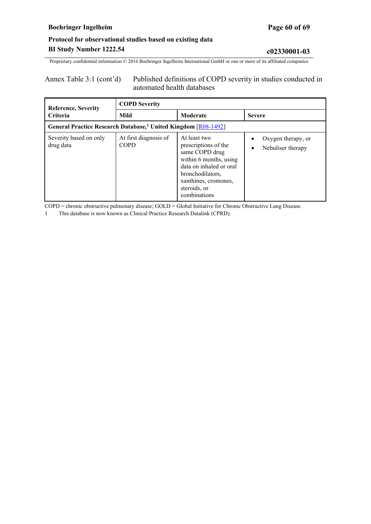Proprietary confidential information © 2016 Boehringer Ingelheim International GmbH or one or more of its affiliated companies

#### Annex Table 3:1 (cont'd) Published definitions of COPD severity in studies conducted in automated health databases

| <b>Reference, Severity</b>                                                 | <b>COPD Severity</b>                 |                                                                                                                                                                                         |                                                      |  |  |  |
|----------------------------------------------------------------------------|--------------------------------------|-----------------------------------------------------------------------------------------------------------------------------------------------------------------------------------------|------------------------------------------------------|--|--|--|
| <b>Criteria</b>                                                            | <b>Mild</b>                          | Moderate                                                                                                                                                                                | <b>Severe</b>                                        |  |  |  |
| General Practice Research Database, <sup>1</sup> United Kingdom [R08-1492] |                                      |                                                                                                                                                                                         |                                                      |  |  |  |
| Severity based on only<br>drug data                                        | At first diagnosis of<br><b>COPD</b> | At least two<br>prescriptions of the<br>same COPD drug<br>within 6 months, using<br>data on inhaled or oral<br>bronchodilators,<br>xanthines, cromones,<br>steroids, or<br>combinations | Oxygen therapy, or<br>Nebuliser therapy<br>$\bullet$ |  |  |  |

COPD = chronic obstructive pulmonary disease; GOLD = Global Initiative for Chronic Obstructive Lung Disease.

1 This database is now known as Clinical Practice Research Datalink (CPRD).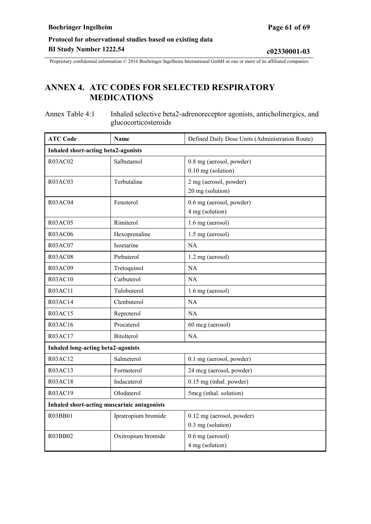# <span id="page-60-0"></span>**ANNEX 4. ATC CODES FOR SELECTED RESPIRATORY MEDICATIONS**

Annex Table 4:1 Inhaled selective beta2-adrenoreceptor agonists, anticholinergics, and glucocorticosteroids

| <b>ATC Code</b>                             | Name                                       | Defined Daily Dose Units (Administration Route)  |  |  |  |  |
|---------------------------------------------|--------------------------------------------|--------------------------------------------------|--|--|--|--|
|                                             | <b>Inhaled short-acting beta2-agonists</b> |                                                  |  |  |  |  |
| <b>R03AC02</b>                              | Salbutamol                                 | 0.8 mg (aerosol, powder)<br>$0.10$ mg (solution) |  |  |  |  |
| <b>R03AC03</b>                              | Terbutaline                                | 2 mg (aerosol, powder)<br>20 mg (solution)       |  |  |  |  |
| <b>R03AC04</b>                              | Fenoterol                                  | 0.6 mg (aerosol, powder)<br>4 mg (solution)      |  |  |  |  |
| <b>R03AC05</b>                              | Rimiterol                                  | 1.6 mg (aerosol)                                 |  |  |  |  |
| <b>R03AC06</b>                              | Hexoprenaline                              | 1.5 mg (aerosol)                                 |  |  |  |  |
| R03AC07                                     | Isoetarine                                 | <b>NA</b>                                        |  |  |  |  |
| <b>R03AC08</b>                              | Pirbuterol                                 | 1.2 mg (aerosol)                                 |  |  |  |  |
| R03AC09                                     | Tretoquinol                                | <b>NA</b>                                        |  |  |  |  |
| R03AC10                                     | Carbuterol                                 | NA                                               |  |  |  |  |
| R03AC11                                     | Tulobuterol                                | 1.6 mg (aerosol)                                 |  |  |  |  |
| <b>R03AC14</b>                              | Clenbuterol                                | <b>NA</b>                                        |  |  |  |  |
| <b>R03AC15</b>                              | Reproterol                                 | <b>NA</b>                                        |  |  |  |  |
| <b>R03AC16</b>                              | Procaterol                                 | 60 mcg (aerosol)                                 |  |  |  |  |
| R03AC17                                     | <b>Bitolterol</b>                          | NA                                               |  |  |  |  |
| <b>Inhaled long-acting beta2-agonists</b>   |                                            |                                                  |  |  |  |  |
| <b>R03AC12</b>                              | Salmeterol                                 | 0.1 mg (aerosol, powder)                         |  |  |  |  |
| <b>R03AC13</b>                              | Formoterol                                 | 24 mcg (aerosol, powder)                         |  |  |  |  |
| <b>R03AC18</b>                              | Indacaterol                                | 0.15 mg (inhal. powder)                          |  |  |  |  |
| R03AC19                                     | Olodaterol                                 | 5mcg (inhal. solution)                           |  |  |  |  |
| Inhaled short-acting muscarinic antagonists |                                            |                                                  |  |  |  |  |
| R03BB01                                     | Ipratropium bromide                        | 0.12 mg (aerosol, powder)<br>0.3 mg (solution)   |  |  |  |  |
| R03BB02                                     | Oxitropium bromide                         | 0.6 mg (aerosol)<br>4 mg (solution)              |  |  |  |  |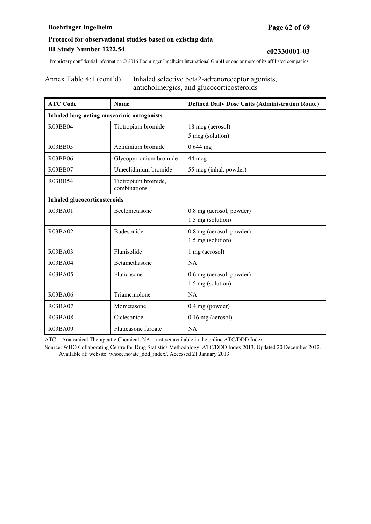.

# **Protocol for observational studies based on existing data BI Study Number 1222.54 c02330001-03**

Proprietary confidential information © 2016 Boehringer Ingelheim International GmbH or one or more of its affiliated companies

| Annex Table 4:1 (cont'd) | Inhaled selective beta2-adrenoreceptor agonists, |
|--------------------------|--------------------------------------------------|
|                          | anticholinergics, and glucocorticosteroids       |

| <b>ATC Code</b>                            | Name                                | <b>Defined Daily Dose Units (Administration Route)</b> |  |  |  |
|--------------------------------------------|-------------------------------------|--------------------------------------------------------|--|--|--|
| Inhaled long-acting muscarinic antagonists |                                     |                                                        |  |  |  |
| R03BB04                                    | Tiotropium bromide                  | 18 mcg (aerosol)                                       |  |  |  |
|                                            |                                     | 5 mcg (solution)                                       |  |  |  |
| R03BB05                                    | Aclidinium bromide                  | $0.644$ mg                                             |  |  |  |
| R03BB06                                    | Glycopyrronium bromide              | 44 mcg                                                 |  |  |  |
| R03BB07                                    | Umeclidinium bromide                | 55 mcg (inhal. powder)                                 |  |  |  |
| R03BB54                                    | Tiotropium bromide,<br>combinations |                                                        |  |  |  |
| <b>Inhaled glucocorticosteroids</b>        |                                     |                                                        |  |  |  |
| R03BA01                                    | Beclometasone                       | 0.8 mg (aerosol, powder)                               |  |  |  |
|                                            |                                     | 1.5 mg (solution)                                      |  |  |  |
| R03BA02                                    | Budesonide                          | 0.8 mg (aerosol, powder)                               |  |  |  |
|                                            |                                     | 1.5 mg (solution)                                      |  |  |  |
| <b>R03BA03</b>                             | Flunisolide                         | 1 mg (aerosol)                                         |  |  |  |
| R03BA04                                    | Betamethasone                       | NA                                                     |  |  |  |
| <b>R03BA05</b>                             | Fluticasone                         | 0.6 mg (aerosol, powder)                               |  |  |  |
|                                            |                                     | 1.5 mg (solution)                                      |  |  |  |
| R03BA06                                    | Triamcinolone                       | NA                                                     |  |  |  |
| R03BA07                                    | Mometasone                          | 0.4 mg (powder)                                        |  |  |  |
| <b>R03BA08</b>                             | Ciclesonide                         | $0.16$ mg (aerosol)                                    |  |  |  |
| R03BA09                                    | Fluticasone furoate                 | NA                                                     |  |  |  |

ATC = Anatomical Therapeutic Chemical; NA = not yet available in the online ATC/DDD Index.

Source: WHO Collaborating Centre for Drug Statistics Methodology. ATC/DDD Index 2013. Updated 20 December 2012. Available at: website: whocc.no/atc\_ddd\_index/. Accessed 21 January 2013.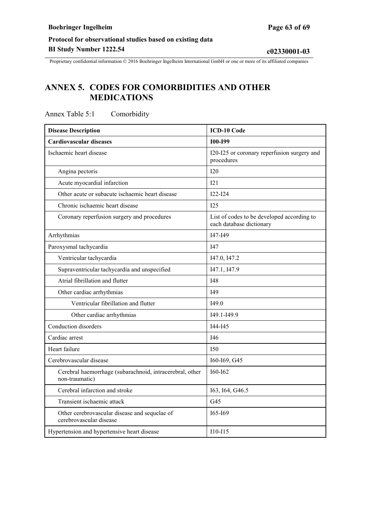<span id="page-62-0"></span>Proprietary confidential information © 2016 Boehringer Ingelheim International GmbH or one or more of its affiliated companies

# **ANNEX 5. CODES FOR COMORBIDITIES AND OTHER MEDICATIONS**

| <b>Disease Description</b>                                                 | ICD-10 Code                                                            |
|----------------------------------------------------------------------------|------------------------------------------------------------------------|
| <b>Cardiovascular diseases</b>                                             | <b>I00-I99</b>                                                         |
| Ischaemic heart disease                                                    | I20-I25 or coronary reperfusion surgery and<br>procedures              |
| Angina pectoris                                                            | I20                                                                    |
| Acute myocardial infarction                                                | 121                                                                    |
| Other acute or subacute ischaemic heart disease                            | $I22-I24$                                                              |
| Chronic ischaemic heart disease                                            | I25                                                                    |
| Coronary reperfusion surgery and procedures                                | List of codes to be developed according to<br>each database dictionary |
| Arrhythmias                                                                | I47-I49                                                                |
| Paroxysmal tachycardia                                                     | I47                                                                    |
| Ventricular tachycardia                                                    | I47.0, I47.2                                                           |
| Supraventricular tachycardia and unspecified                               | I47.1, I47.9                                                           |
| Atrial fibrillation and flutter                                            | <b>I48</b>                                                             |
| Other cardiac arrhythmias                                                  | <b>I49</b>                                                             |
| Ventricular fibrillation and flutter                                       | I49.0                                                                  |
| Other cardiac arrhythmias                                                  | 149.1-149.9                                                            |
| Conduction disorders                                                       | I44-I45                                                                |
| Cardiac arrest                                                             | I46                                                                    |
| Heart failure                                                              | I <sub>50</sub>                                                        |
| Cerebrovascular disease                                                    | I60-I69, G45                                                           |
| Cerebral haemorrhage (subarachnoid, intracerebral, other<br>non-traumatic) | $I60-I62$                                                              |
| Cerebral infarction and stroke                                             | I63, I64, G46.5                                                        |
| Transient ischaemic attack                                                 | G <sub>45</sub>                                                        |
| Other cerebrovascular disease and sequelae of<br>cerebrovascular disease   | 165-169                                                                |
| Hypertension and hypertensive heart disease                                | $I10-I15$                                                              |

Annex Table 5:1 Comorbidity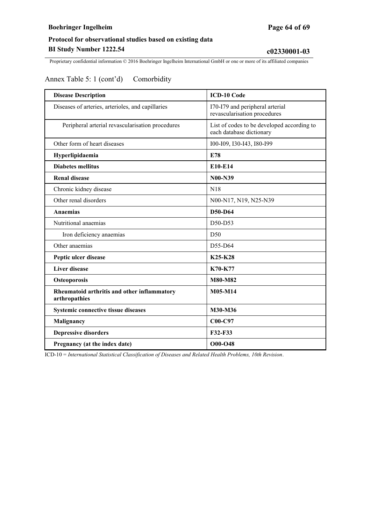Proprietary confidential information © 2016 Boehringer Ingelheim International GmbH or one or more of its affiliated companies

# Annex Table 5: 1 (cont'd) Comorbidity

| <b>Disease Description</b>                                   | <b>ICD-10 Code</b>                                                     |
|--------------------------------------------------------------|------------------------------------------------------------------------|
| Diseases of arteries, arterioles, and capillaries            | I70-I79 and peripheral arterial<br>revascularisation procedures        |
| Peripheral arterial revascularisation procedures             | List of codes to be developed according to<br>each database dictionary |
| Other form of heart diseases                                 | 100-109, 130-143, 180-199                                              |
| Hyperlipidaemia                                              | E78                                                                    |
| <b>Diabetes mellitus</b>                                     | E10-E14                                                                |
| <b>Renal disease</b>                                         | <b>N00-N39</b>                                                         |
| Chronic kidney disease                                       | N18                                                                    |
| Other renal disorders                                        | N00-N17, N19, N25-N39                                                  |
| <b>Anaemias</b>                                              | D50-D64                                                                |
| Nutritional anaemias                                         | D50-D53                                                                |
| Iron deficiency anaemias                                     | D50                                                                    |
| Other anaemias                                               | D55-D64                                                                |
| Peptic ulcer disease                                         | K25-K28                                                                |
| <b>Liver disease</b>                                         | K70-K77                                                                |
| Osteoporosis                                                 | <b>M80-M82</b>                                                         |
| Rheumatoid arthritis and other inflammatory<br>arthropathies | M05-M14                                                                |
| Systemic connective tissue diseases                          | M30-M36                                                                |
| Malignancy                                                   | C00-C97                                                                |
| <b>Depressive disorders</b>                                  | F32-F33                                                                |
| Pregnancy (at the index date)                                | $O$ 00- $O$ 48                                                         |

ICD-10 = *International Statistical Classification of Diseases and Related Health Problems, 10th Revision*.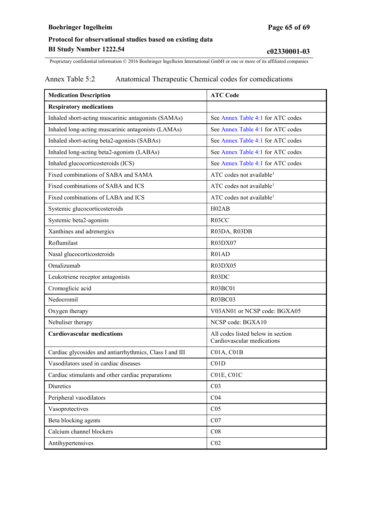### **Boehringer Ingelheim Page 65 of 69**

# **Protocol for observational studies based on existing data BI Study Number 1222.54 c02330001-03**

Proprietary confidential information © 2016 Boehringer Ingelheim International GmbH or one or more of its affiliated companies

### Annex Table 5:2 Anatomical Therapeutic Chemical codes for comedications

| <b>Medication Description</b>                           | <b>ATC Code</b>                                                 |
|---------------------------------------------------------|-----------------------------------------------------------------|
| <b>Respiratory medications</b>                          |                                                                 |
| Inhaled short-acting muscarinic antagonists (SAMAs)     | See Annex Table 4:1 for ATC codes                               |
| Inhaled long-acting muscarinic antagonists (LAMAs)      | See Annex Table 4:1 for ATC codes                               |
| Inhaled short-acting beta2-agonists (SABAs)             | See Annex Table 4:1 for ATC codes                               |
| Inhaled long-acting beta2-agonists (LABAs)              | See Annex Table 4:1 for ATC codes                               |
| Inhaled glucocorticosteroids (ICS)                      | See Annex Table 4:1 for ATC codes                               |
| Fixed combinations of SABA and SAMA                     | ATC codes not available <sup>1</sup>                            |
| Fixed combinations of SABA and ICS                      | ATC codes not available <sup>1</sup>                            |
| Fixed combinations of LABA and ICS                      | ATC codes not available <sup>1</sup>                            |
| Systemic glucocorticosteroids                           | H02AB                                                           |
| Systemic beta2-agonists                                 | R03CC                                                           |
| Xanthines and adrenergics                               | R03DA, R03DB                                                    |
| Roflumilast                                             | R03DX07                                                         |
| Nasal glucocorticosteroids                              | R01AD                                                           |
| Omalizumab                                              | R03DX05                                                         |
| Leukotriene receptor antagonists                        | R03DC                                                           |
| Cromoglicic acid                                        | R03BC01                                                         |
| Nedocromil                                              | <b>R03BC03</b>                                                  |
| Oxygen therapy                                          | V03AN01 or NCSP code: BGXA05                                    |
| Nebuliser therapy                                       | NCSP code: BGXA10                                               |
| <b>Cardiovascular medications</b>                       | All codes listed below in section<br>Cardiovascular medications |
| Cardiac glycosides and antiarrhythmics, Class I and III | CO1A, CO1B                                                      |
| Vasodilators used in cardiac diseases                   | CO1D                                                            |
| Cardiac stimulants and other cardiac preparations       | C01E, C01C                                                      |
| Diuretics                                               | CO <sub>3</sub>                                                 |
| Peripheral vasodilators                                 | C <sub>04</sub>                                                 |
| Vasoprotectives                                         | C <sub>05</sub>                                                 |
| Beta blocking agents                                    | CO7                                                             |
| Calcium channel blockers                                | C <sub>08</sub>                                                 |
| Antihypertensives                                       | C <sub>02</sub>                                                 |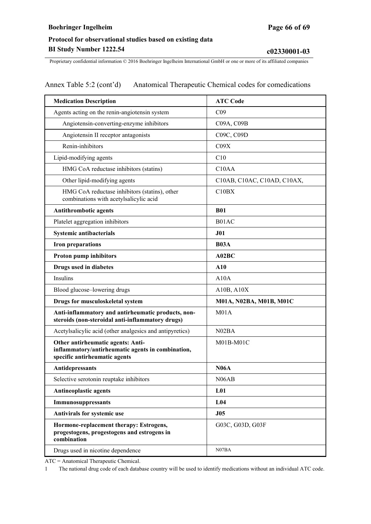Annex Table 5:2 (cont'd) Anatomical Therapeutic Chemical codes for comedications

| <b>Medication Description</b>                                                                                           | <b>ATC Code</b>             |
|-------------------------------------------------------------------------------------------------------------------------|-----------------------------|
| Agents acting on the renin-angiotensin system                                                                           | C <sub>09</sub>             |
| Angiotensin-converting-enzyme inhibitors                                                                                | C09A, C09B                  |
| Angiotensin II receptor antagonists                                                                                     | C09C, C09D                  |
| Renin-inhibitors                                                                                                        | C09X                        |
| Lipid-modifying agents                                                                                                  | C10                         |
| HMG CoA reductase inhibitors (statins)                                                                                  | C <sub>10</sub> AA          |
| Other lipid-modifying agents                                                                                            | C10AB, C10AC, C10AD, C10AX, |
| HMG CoA reductase inhibitors (statins), other<br>combinations with acetylsalicylic acid                                 | C10BX                       |
| <b>Antithrombotic agents</b>                                                                                            | <b>B01</b>                  |
| Platelet aggregation inhibitors                                                                                         | B01AC                       |
| Systemic antibacterials                                                                                                 | J <sub>01</sub>             |
| <b>Iron preparations</b>                                                                                                | <b>B03A</b>                 |
| Proton pump inhibitors                                                                                                  | A02BC                       |
| Drugs used in diabetes                                                                                                  | A10                         |
| Insulins                                                                                                                | A10A                        |
| Blood glucose-lowering drugs                                                                                            | A10B, A10X                  |
| Drugs for musculoskeletal system                                                                                        | M01A, N02BA, M01B, M01C     |
| Anti-inflammatory and antirheumatic products, non-<br>steroids (non-steroidal anti-inflammatory drugs)                  | M <sub>01A</sub>            |
| Acetylsalicylic acid (other analgesics and antipyretics)                                                                | N02BA                       |
| Other antirheumatic agents: Anti-<br>inflammatory/antirheumatic agents in combination,<br>specific antirheumatic agents | M01B-M01C                   |
| Antidepressants                                                                                                         | <b>N06A</b>                 |
| Selective serotonin reuptake inhibitors                                                                                 | N06AB                       |
| <b>Antineoplastic agents</b>                                                                                            | L <sub>01</sub>             |
| Immunosuppressants                                                                                                      | L <sub>04</sub>             |
| Antivirals for systemic use                                                                                             | J05                         |
| Hormone-replacement therapy: Estrogens,<br>progestogens, progestogens and estrogens in<br>combination                   | G03C, G03D, G03F            |
| Drugs used in nicotine dependence                                                                                       | N07BA                       |

ATC = Anatomical Therapeutic Chemical.

1 The national drug code of each database country will be used to identify medications without an individual ATC code.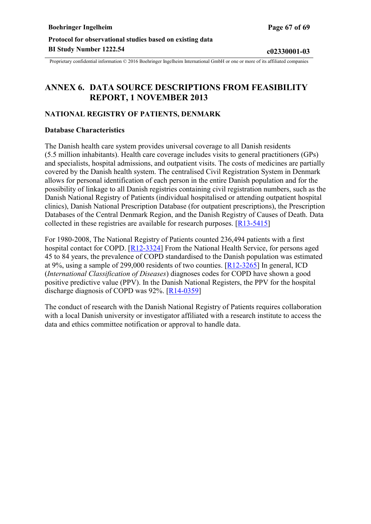# <span id="page-66-0"></span>**ANNEX 6. DATA SOURCE DESCRIPTIONS FROM FEASIBILITY REPORT, 1 NOVEMBER 2013**

#### **NATIONAL REGISTRY OF PATIENTS, DENMARK**

#### **Database Characteristics**

The Danish health care system provides universal coverage to all Danish residents (5.5 million inhabitants). Health care coverage includes visits to general practitioners (GPs) and specialists, hospital admissions, and outpatient visits. The costs of medicines are partially covered by the Danish health system. The centralised Civil Registration System in Denmark allows for personal identification of each person in the entire Danish population and for the possibility of linkage to all Danish registries containing civil registration numbers, such as the Danish National Registry of Patients (individual hospitalised or attending outpatient hospital clinics), Danish National Prescription Database (for outpatient prescriptions), the Prescription Databases of the Central Denmark Region, and the Danish Registry of Causes of Death. Data collected in these registries are available for research purposes.  $\sqrt{R13-5415}$ 

For 1980-2008, The National Registry of Patients counted 236,494 patients with a first hospital contact for COPD. [[R12-3324\]](#page-46-0) From the National Health Service, for persons aged 45 to 84 years, the prevalence of COPD standardised to the Danish population was estimated at 9%, using a sample of 299,000 residents of two counties. [[R12-3265\]](#page-45-0) In general, ICD (*International Classification of Diseases*) diagnoses codes for COPD have shown a good positive predictive value (PPV). In the Danish National Registers, the PPV for the hospital discharge diagnosis of COPD was 92%. [[R14-0359\]](#page-47-0)

The conduct of research with the Danish National Registry of Patients requires collaboration with a local Danish university or investigator affiliated with a research institute to access the data and ethics committee notification or approval to handle data.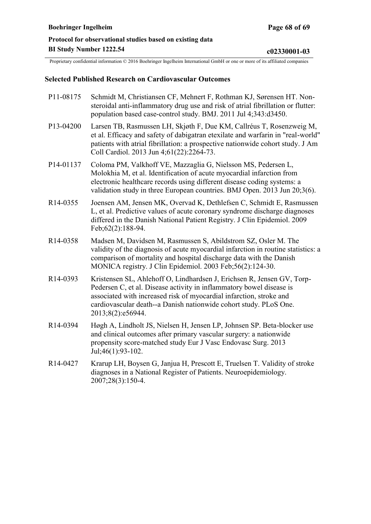#### **Selected Published Research on Cardiovascular Outcomes**

- P11-08175 Schmidt M, Christiansen CF, Mehnert F, Rothman KJ, Sørensen HT. Nonsteroidal anti-inflammatory drug use and risk of atrial fibrillation or flutter: population based case-control study. BMJ. 2011 Jul 4;343:d3450.
- P13-04200 Larsen TB, Rasmussen LH, Skjøth F, Due KM, Callréus T, Rosenzweig M, et al. Efficacy and safety of dabigatran etexilate and warfarin in "real-world" patients with atrial fibrillation: a prospective nationwide cohort study. J Am Coll Cardiol. 2013 Jun 4;61(22):2264-73.
- P14-01137 Coloma PM, Valkhoff VE, Mazzaglia G, Nielsson MS, Pedersen L, Molokhia M, et al. Identification of acute myocardial infarction from electronic healthcare records using different disease coding systems: a validation study in three European countries. BMJ Open. 2013 Jun 20;3(6).
- R14-0355 Joensen AM, Jensen MK, Overvad K, Dethlefsen C, Schmidt E, Rasmussen L, et al. Predictive values of acute coronary syndrome discharge diagnoses differed in the Danish National Patient Registry. J Clin Epidemiol. 2009 Feb;62(2):188-94.
- R14-0358 Madsen M, Davidsen M, Rasmussen S, Abildstrom SZ, Osler M. The validity of the diagnosis of acute myocardial infarction in routine statistics: a comparison of mortality and hospital discharge data with the Danish MONICA registry. J Clin Epidemiol. 2003 Feb;56(2):124-30.
- R14-0393 Kristensen SL, Ahlehoff O, Lindhardsen J, Erichsen R, Jensen GV, Torp-Pedersen C, et al. Disease activity in inflammatory bowel disease is associated with increased risk of myocardial infarction, stroke and cardiovascular death--a Danish nationwide cohort study. PLoS One. 2013;8(2):e56944.
- R14-0394 Høgh A, Lindholt JS, Nielsen H, Jensen LP, Johnsen SP. Beta-blocker use and clinical outcomes after primary vascular surgery: a nationwide propensity score-matched study Eur J Vasc Endovasc Surg. 2013 Jul;46(1):93-102.
- R14-0427 Krarup LH, Boysen G, Janjua H, Prescott E, Truelsen T. Validity of stroke diagnoses in a National Register of Patients. Neuroepidemiology. 2007;28(3):150-4.